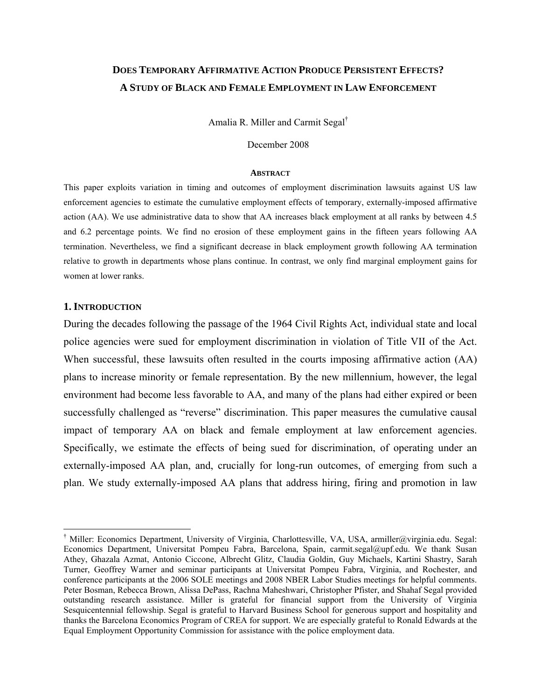## **DOES TEMPORARY AFFIRMATIVE ACTION PRODUCE PERSISTENT EFFECTS? A STUDY OF BLACK AND FEMALE EMPLOYMENT IN LAW ENFORCEMENT**

Amalia R. Miller and Carmit Segal†

December 2008

#### **ABSTRACT**

This paper exploits variation in timing and outcomes of employment discrimination lawsuits against US law enforcement agencies to estimate the cumulative employment effects of temporary, externally-imposed affirmative action (AA). We use administrative data to show that AA increases black employment at all ranks by between 4.5 and 6.2 percentage points. We find no erosion of these employment gains in the fifteen years following AA termination. Nevertheless, we find a significant decrease in black employment growth following AA termination relative to growth in departments whose plans continue. In contrast, we only find marginal employment gains for women at lower ranks.

#### **1. INTRODUCTION**

 $\overline{a}$ 

During the decades following the passage of the 1964 Civil Rights Act, individual state and local police agencies were sued for employment discrimination in violation of Title VII of the Act. When successful, these lawsuits often resulted in the courts imposing affirmative action (AA) plans to increase minority or female representation. By the new millennium, however, the legal environment had become less favorable to AA, and many of the plans had either expired or been successfully challenged as "reverse" discrimination. This paper measures the cumulative causal impact of temporary AA on black and female employment at law enforcement agencies. Specifically, we estimate the effects of being sued for discrimination, of operating under an externally-imposed AA plan, and, crucially for long-run outcomes, of emerging from such a plan. We study externally-imposed AA plans that address hiring, firing and promotion in law

<sup>†</sup> Miller: Economics Department, University of Virginia, Charlottesville, VA, USA, armiller@virginia.edu. Segal: Economics Department, Universitat Pompeu Fabra, Barcelona, Spain, carmit.segal@upf.edu. We thank Susan Athey, Ghazala Azmat, Antonio Ciccone, Albrecht Glitz, Claudia Goldin, Guy Michaels, Kartini Shastry, Sarah Turner, Geoffrey Warner and seminar participants at Universitat Pompeu Fabra, Virginia, and Rochester, and conference participants at the 2006 SOLE meetings and 2008 NBER Labor Studies meetings for helpful comments. Peter Bosman, Rebecca Brown, Alissa DePass, Rachna Maheshwari, Christopher Pfister, and Shahaf Segal provided outstanding research assistance. Miller is grateful for financial support from the University of Virginia Sesquicentennial fellowship. Segal is grateful to Harvard Business School for generous support and hospitality and thanks the Barcelona Economics Program of CREA for support. We are especially grateful to Ronald Edwards at the Equal Employment Opportunity Commission for assistance with the police employment data.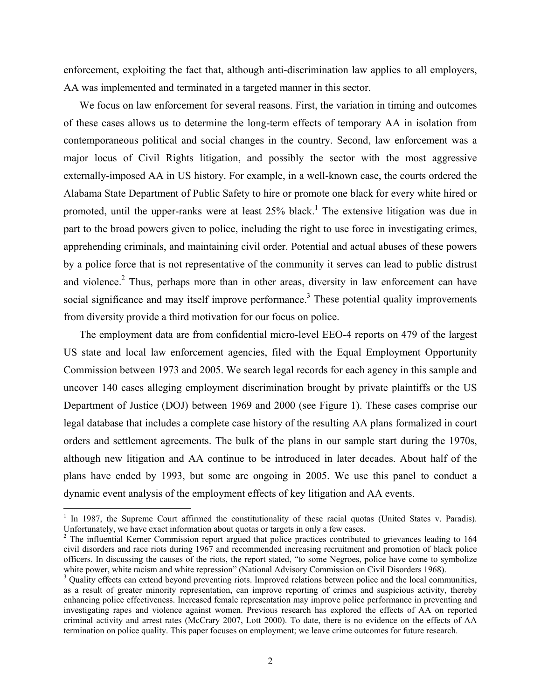enforcement, exploiting the fact that, although anti-discrimination law applies to all employers, AA was implemented and terminated in a targeted manner in this sector.

We focus on law enforcement for several reasons. First, the variation in timing and outcomes of these cases allows us to determine the long-term effects of temporary AA in isolation from contemporaneous political and social changes in the country. Second, law enforcement was a major locus of Civil Rights litigation, and possibly the sector with the most aggressive externally-imposed AA in US history. For example, in a well-known case, the courts ordered the Alabama State Department of Public Safety to hire or promote one black for every white hired or promoted, until the upper-ranks were at least  $25\%$  black.<sup>1</sup> The extensive litigation was due in part to the broad powers given to police, including the right to use force in investigating crimes, apprehending criminals, and maintaining civil order. Potential and actual abuses of these powers by a police force that is not representative of the community it serves can lead to public distrust and violence.<sup>2</sup> Thus, perhaps more than in other areas, diversity in law enforcement can have social significance and may itself improve performance.<sup>3</sup> These potential quality improvements from diversity provide a third motivation for our focus on police.

The employment data are from confidential micro-level EEO-4 reports on 479 of the largest US state and local law enforcement agencies, filed with the Equal Employment Opportunity Commission between 1973 and 2005. We search legal records for each agency in this sample and uncover 140 cases alleging employment discrimination brought by private plaintiffs or the US Department of Justice (DOJ) between 1969 and 2000 (see Figure 1). These cases comprise our legal database that includes a complete case history of the resulting AA plans formalized in court orders and settlement agreements. The bulk of the plans in our sample start during the 1970s, although new litigation and AA continue to be introduced in later decades. About half of the plans have ended by 1993, but some are ongoing in 2005. We use this panel to conduct a dynamic event analysis of the employment effects of key litigation and AA events.

<sup>&</sup>lt;sup>1</sup> In 1987, the Supreme Court affirmed the constitutionality of these racial quotas (United States v. Paradis). Unfortunately, we have exact information about quotas or targets in only a few cases. 2

<sup>&</sup>lt;sup>2</sup> The influential Kerner Commission report argued that police practices contributed to grievances leading to 164 civil disorders and race riots during 1967 and recommended increasing recruitment and promotion of black police officers. In discussing the causes of the riots, the report stated, "to some Negroes, police have come to symbolize white power, white racism and white repression" (National Advisory Commission on Civil Disorders 1968).

<sup>&</sup>lt;sup>3</sup> Quality effects can extend beyond preventing riots. Improved relations between police and the local communities, as a result of greater minority representation, can improve reporting of crimes and suspicious activity, thereby enhancing police effectiveness. Increased female representation may improve police performance in preventing and investigating rapes and violence against women. Previous research has explored the effects of AA on reported criminal activity and arrest rates (McCrary 2007, Lott 2000). To date, there is no evidence on the effects of AA termination on police quality. This paper focuses on employment; we leave crime outcomes for future research.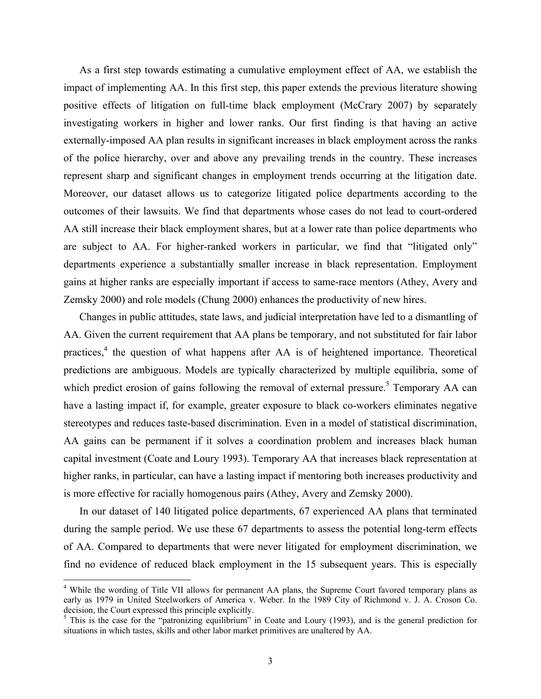As a first step towards estimating a cumulative employment effect of AA, we establish the impact of implementing AA. In this first step, this paper extends the previous literature showing positive effects of litigation on full-time black employment (McCrary 2007) by separately investigating workers in higher and lower ranks. Our first finding is that having an active externally-imposed AA plan results in significant increases in black employment across the ranks of the police hierarchy, over and above any prevailing trends in the country. These increases represent sharp and significant changes in employment trends occurring at the litigation date. Moreover, our dataset allows us to categorize litigated police departments according to the outcomes of their lawsuits. We find that departments whose cases do not lead to court-ordered AA still increase their black employment shares, but at a lower rate than police departments who are subject to AA. For higher-ranked workers in particular, we find that "litigated only" departments experience a substantially smaller increase in black representation. Employment gains at higher ranks are especially important if access to same-race mentors (Athey, Avery and Zemsky 2000) and role models (Chung 2000) enhances the productivity of new hires.

Changes in public attitudes, state laws, and judicial interpretation have led to a dismantling of AA. Given the current requirement that AA plans be temporary, and not substituted for fair labor practices,<sup>4</sup> the question of what happens after AA is of heightened importance. Theoretical predictions are ambiguous. Models are typically characterized by multiple equilibria, some of which predict erosion of gains following the removal of external pressure.<sup>5</sup> Temporary AA can have a lasting impact if, for example, greater exposure to black co-workers eliminates negative stereotypes and reduces taste-based discrimination. Even in a model of statistical discrimination, AA gains can be permanent if it solves a coordination problem and increases black human capital investment (Coate and Loury 1993). Temporary AA that increases black representation at higher ranks, in particular, can have a lasting impact if mentoring both increases productivity and is more effective for racially homogenous pairs (Athey, Avery and Zemsky 2000).

In our dataset of 140 litigated police departments, 67 experienced AA plans that terminated during the sample period. We use these 67 departments to assess the potential long-term effects of AA. Compared to departments that were never litigated for employment discrimination, we find no evidence of reduced black employment in the 15 subsequent years. This is especially

<sup>&</sup>lt;sup>4</sup> While the wording of Title VII allows for permanent AA plans, the Supreme Court favored temporary plans as early as 1979 in United Steelworkers of America v. Weber. In the 1989 City of Richmond v. J. A. Croson Co. decision, the Court expressed this principle explicitly.

 $<sup>5</sup>$  This is the case for the "patronizing equilibrium" in Coate and Loury (1993), and is the general prediction for</sup> situations in which tastes, skills and other labor market primitives are unaltered by AA.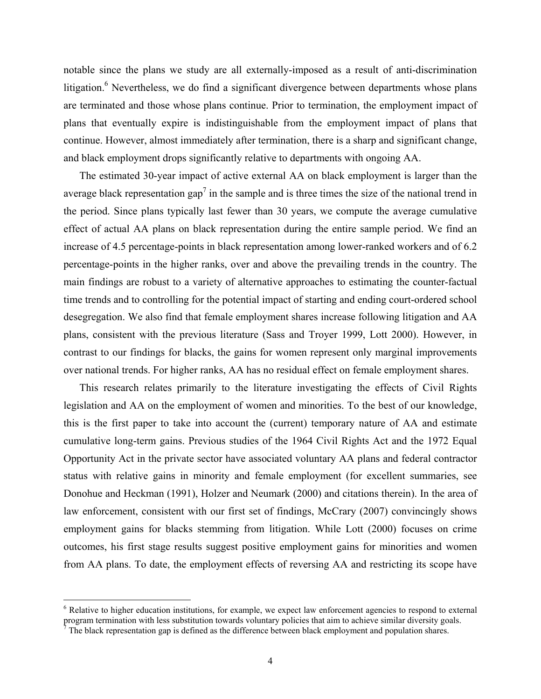notable since the plans we study are all externally-imposed as a result of anti-discrimination litigation.<sup>6</sup> Nevertheless, we do find a significant divergence between departments whose plans are terminated and those whose plans continue. Prior to termination, the employment impact of plans that eventually expire is indistinguishable from the employment impact of plans that continue. However, almost immediately after termination, there is a sharp and significant change, and black employment drops significantly relative to departments with ongoing AA.

The estimated 30-year impact of active external AA on black employment is larger than the average black representation gap<sup>7</sup> in the sample and is three times the size of the national trend in the period. Since plans typically last fewer than 30 years, we compute the average cumulative effect of actual AA plans on black representation during the entire sample period. We find an increase of 4.5 percentage-points in black representation among lower-ranked workers and of 6.2 percentage-points in the higher ranks, over and above the prevailing trends in the country. The main findings are robust to a variety of alternative approaches to estimating the counter-factual time trends and to controlling for the potential impact of starting and ending court-ordered school desegregation. We also find that female employment shares increase following litigation and AA plans, consistent with the previous literature (Sass and Troyer 1999, Lott 2000). However, in contrast to our findings for blacks, the gains for women represent only marginal improvements over national trends. For higher ranks, AA has no residual effect on female employment shares.

This research relates primarily to the literature investigating the effects of Civil Rights legislation and AA on the employment of women and minorities. To the best of our knowledge, this is the first paper to take into account the (current) temporary nature of AA and estimate cumulative long-term gains. Previous studies of the 1964 Civil Rights Act and the 1972 Equal Opportunity Act in the private sector have associated voluntary AA plans and federal contractor status with relative gains in minority and female employment (for excellent summaries, see Donohue and Heckman (1991), Holzer and Neumark (2000) and citations therein). In the area of law enforcement, consistent with our first set of findings, McCrary (2007) convincingly shows employment gains for blacks stemming from litigation. While Lott (2000) focuses on crime outcomes, his first stage results suggest positive employment gains for minorities and women from AA plans. To date, the employment effects of reversing AA and restricting its scope have

<sup>&</sup>lt;sup>6</sup> Relative to higher education institutions, for example, we expect law enforcement agencies to respond to external program termination with less substitution towards voluntary policies that aim to achieve similar diversity goals. 7

The black representation gap is defined as the difference between black employment and population shares.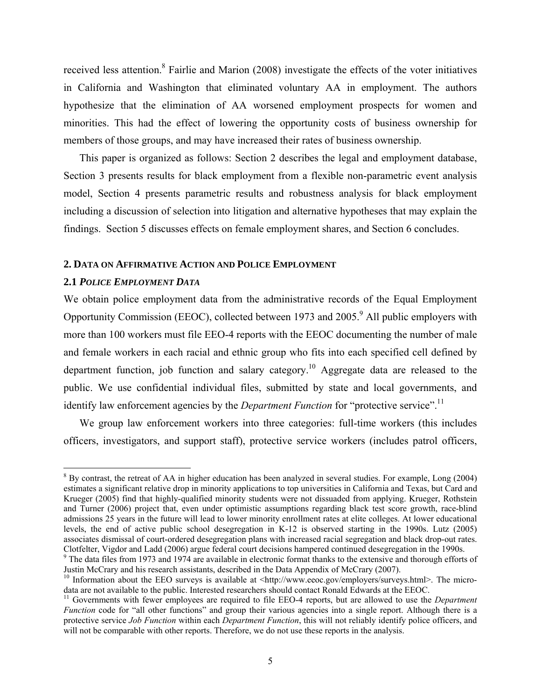received less attention.<sup>8</sup> Fairlie and Marion (2008) investigate the effects of the voter initiatives in California and Washington that eliminated voluntary AA in employment. The authors hypothesize that the elimination of AA worsened employment prospects for women and minorities. This had the effect of lowering the opportunity costs of business ownership for members of those groups, and may have increased their rates of business ownership.

This paper is organized as follows: Section 2 describes the legal and employment database, Section 3 presents results for black employment from a flexible non-parametric event analysis model, Section 4 presents parametric results and robustness analysis for black employment including a discussion of selection into litigation and alternative hypotheses that may explain the findings. Section 5 discusses effects on female employment shares, and Section 6 concludes.

#### **2. DATA ON AFFIRMATIVE ACTION AND POLICE EMPLOYMENT**

#### **2.1** *POLICE EMPLOYMENT DATA*

1

We obtain police employment data from the administrative records of the Equal Employment Opportunity Commission (EEOC), collected between 1973 and  $2005<sup>9</sup>$  All public employers with more than 100 workers must file EEO-4 reports with the EEOC documenting the number of male and female workers in each racial and ethnic group who fits into each specified cell defined by department function, job function and salary category.<sup>10</sup> Aggregate data are released to the public. We use confidential individual files, submitted by state and local governments, and identify law enforcement agencies by the *Department Function* for "protective service".<sup>11</sup>

We group law enforcement workers into three categories: full-time workers (this includes officers, investigators, and support staff), protective service workers (includes patrol officers,

 $8$  By contrast, the retreat of AA in higher education has been analyzed in several studies. For example, Long (2004) estimates a significant relative drop in minority applications to top universities in California and Texas, but Card and Krueger (2005) find that highly-qualified minority students were not dissuaded from applying. Krueger, Rothstein and Turner (2006) project that, even under optimistic assumptions regarding black test score growth, race-blind admissions 25 years in the future will lead to lower minority enrollment rates at elite colleges. At lower educational levels, the end of active public school desegregation in K-12 is observed starting in the 1990s. Lutz (2005) associates dismissal of court-ordered desegregation plans with increased racial segregation and black drop-out rates. Clotfelter, Vigdor and Ladd (2006) argue federal court decisions hampered continued desegregation in the 1990s.

<sup>&</sup>lt;sup>9</sup> The data files from 1973 and 1974 are available in electronic format thanks to the extensive and thorough efforts of Justin McCrary and his research assistants, described in the Data Appendix of McCrary (2007).

<sup>&</sup>lt;sup>10</sup> Information about the EEO surveys is available at <http://www.eeoc.gov/employers/surveys.html>. The micro-<br>data are not available to the public. Interested researchers should contact Ronald Edwards at the EEOC.

<sup>&</sup>lt;sup>11</sup> Governments with fewer employees are required to file EEO-4 reports, but are allowed to use the *Department Function* code for "all other functions" and group their various agencies into a single report. Although there is a protective service *Job Function* within each *Department Function*, this will not reliably identify police officers, and will not be comparable with other reports. Therefore, we do not use these reports in the analysis.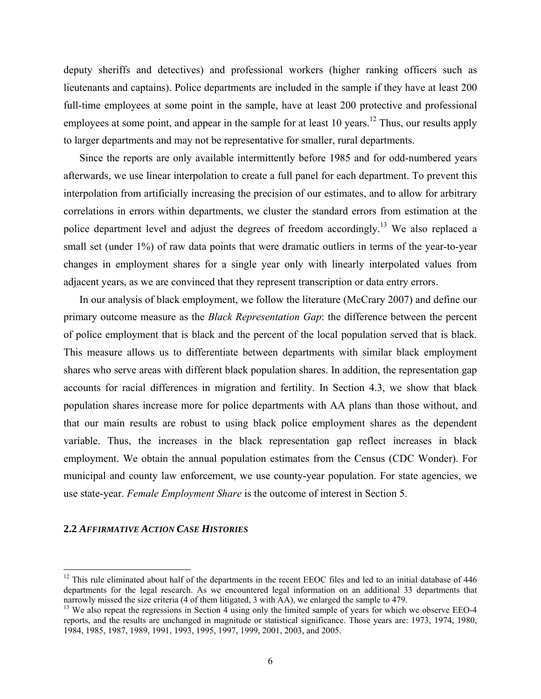deputy sheriffs and detectives) and professional workers (higher ranking officers such as lieutenants and captains). Police departments are included in the sample if they have at least 200 full-time employees at some point in the sample, have at least 200 protective and professional employees at some point, and appear in the sample for at least 10 years.<sup>12</sup> Thus, our results apply to larger departments and may not be representative for smaller, rural departments.

Since the reports are only available intermittently before 1985 and for odd-numbered years afterwards, we use linear interpolation to create a full panel for each department. To prevent this interpolation from artificially increasing the precision of our estimates, and to allow for arbitrary correlations in errors within departments, we cluster the standard errors from estimation at the police department level and adjust the degrees of freedom accordingly.<sup>13</sup> We also replaced a small set (under 1%) of raw data points that were dramatic outliers in terms of the year-to-year changes in employment shares for a single year only with linearly interpolated values from adjacent years, as we are convinced that they represent transcription or data entry errors.

In our analysis of black employment, we follow the literature (McCrary 2007) and define our primary outcome measure as the *Black Representation Gap*: the difference between the percent of police employment that is black and the percent of the local population served that is black. This measure allows us to differentiate between departments with similar black employment shares who serve areas with different black population shares. In addition, the representation gap accounts for racial differences in migration and fertility. In Section 4.3, we show that black population shares increase more for police departments with AA plans than those without, and that our main results are robust to using black police employment shares as the dependent variable. Thus, the increases in the black representation gap reflect increases in black employment. We obtain the annual population estimates from the Census (CDC Wonder). For municipal and county law enforcement, we use county-year population. For state agencies, we use state-year. *Female Employment Share* is the outcome of interest in Section 5.

#### **2.2** *AFFIRMATIVE ACTION CASE HISTORIES*

1

 $12$  This rule eliminated about half of the departments in the recent EEOC files and led to an initial database of 446 departments for the legal research. As we encountered legal information on an additional 33 departments that narrowly missed the size criteria (4 of them litigated, 3 with AA), we enlarged the sample to 479.

<sup>&</sup>lt;sup>13</sup> We also repeat the regressions in Section 4 using only the limited sample of years for which we observe EEO-4 reports, and the results are unchanged in magnitude or statistical significance. Those years are: 1973, 1974, 1980, 1984, 1985, 1987, 1989, 1991, 1993, 1995, 1997, 1999, 2001, 2003, and 2005.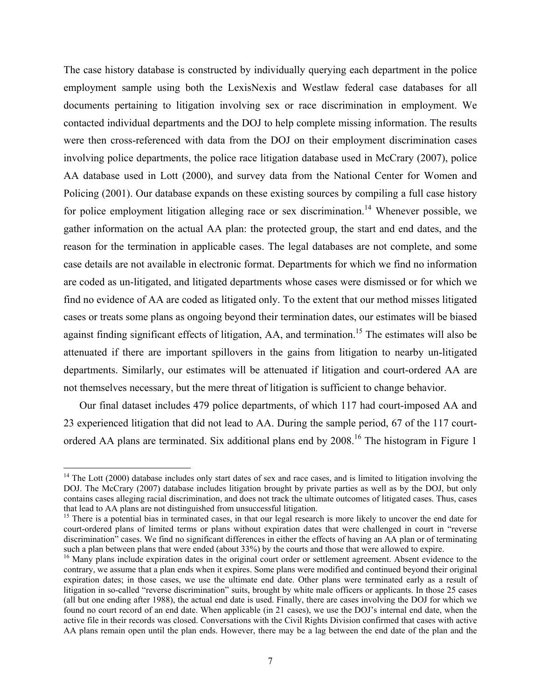The case history database is constructed by individually querying each department in the police employment sample using both the LexisNexis and Westlaw federal case databases for all documents pertaining to litigation involving sex or race discrimination in employment. We contacted individual departments and the DOJ to help complete missing information. The results were then cross-referenced with data from the DOJ on their employment discrimination cases involving police departments, the police race litigation database used in McCrary (2007), police AA database used in Lott (2000), and survey data from the National Center for Women and Policing (2001). Our database expands on these existing sources by compiling a full case history for police employment litigation alleging race or sex discrimination.<sup>14</sup> Whenever possible, we gather information on the actual AA plan: the protected group, the start and end dates, and the reason for the termination in applicable cases. The legal databases are not complete, and some case details are not available in electronic format. Departments for which we find no information are coded as un-litigated, and litigated departments whose cases were dismissed or for which we find no evidence of AA are coded as litigated only. To the extent that our method misses litigated cases or treats some plans as ongoing beyond their termination dates, our estimates will be biased against finding significant effects of litigation, AA, and termination.<sup>15</sup> The estimates will also be attenuated if there are important spillovers in the gains from litigation to nearby un-litigated departments. Similarly, our estimates will be attenuated if litigation and court-ordered AA are not themselves necessary, but the mere threat of litigation is sufficient to change behavior.

Our final dataset includes 479 police departments, of which 117 had court-imposed AA and 23 experienced litigation that did not lead to AA. During the sample period, 67 of the 117 courtordered AA plans are terminated. Six additional plans end by 2008.<sup>16</sup> The histogram in Figure 1

 $14$  The Lott (2000) database includes only start dates of sex and race cases, and is limited to litigation involving the DOJ. The McCrary (2007) database includes litigation brought by private parties as well as by the DOJ, but only contains cases alleging racial discrimination, and does not track the ultimate outcomes of litigated cases. Thus, cases that lead to AA plans are not distinguished from unsuccessful litigation.<br><sup>15</sup> There is a potential bias in terminated cases, in that our legal research is more likely to uncover the end date for

court-ordered plans of limited terms or plans without expiration dates that were challenged in court in "reverse discrimination" cases. We find no significant differences in either the effects of having an AA plan or of terminating such a plan between plans that were ended (about 33%) by the courts and those that were allowed to expire.

<sup>&</sup>lt;sup>16</sup> Many plans include expiration dates in the original court order or settlement agreement. Absent evidence to the contrary, we assume that a plan ends when it expires. Some plans were modified and continued beyond their original expiration dates; in those cases, we use the ultimate end date. Other plans were terminated early as a result of litigation in so-called "reverse discrimination" suits, brought by white male officers or applicants. In those 25 cases (all but one ending after 1988), the actual end date is used. Finally, there are cases involving the DOJ for which we found no court record of an end date. When applicable (in 21 cases), we use the DOJ's internal end date, when the active file in their records was closed. Conversations with the Civil Rights Division confirmed that cases with active AA plans remain open until the plan ends. However, there may be a lag between the end date of the plan and the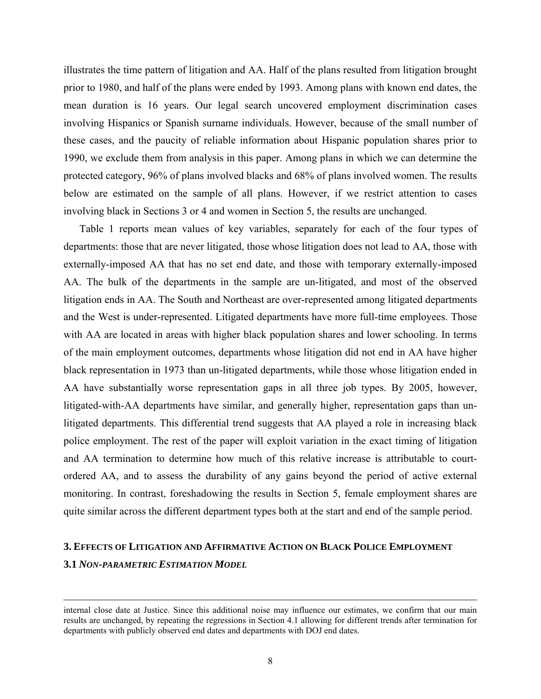illustrates the time pattern of litigation and AA. Half of the plans resulted from litigation brought prior to 1980, and half of the plans were ended by 1993. Among plans with known end dates, the mean duration is 16 years. Our legal search uncovered employment discrimination cases involving Hispanics or Spanish surname individuals. However, because of the small number of these cases, and the paucity of reliable information about Hispanic population shares prior to 1990, we exclude them from analysis in this paper. Among plans in which we can determine the protected category, 96% of plans involved blacks and 68% of plans involved women. The results below are estimated on the sample of all plans. However, if we restrict attention to cases involving black in Sections 3 or 4 and women in Section 5, the results are unchanged.

Table 1 reports mean values of key variables, separately for each of the four types of departments: those that are never litigated, those whose litigation does not lead to AA, those with externally-imposed AA that has no set end date, and those with temporary externally-imposed AA. The bulk of the departments in the sample are un-litigated, and most of the observed litigation ends in AA. The South and Northeast are over-represented among litigated departments and the West is under-represented. Litigated departments have more full-time employees. Those with AA are located in areas with higher black population shares and lower schooling. In terms of the main employment outcomes, departments whose litigation did not end in AA have higher black representation in 1973 than un-litigated departments, while those whose litigation ended in AA have substantially worse representation gaps in all three job types. By 2005, however, litigated-with-AA departments have similar, and generally higher, representation gaps than unlitigated departments. This differential trend suggests that AA played a role in increasing black police employment. The rest of the paper will exploit variation in the exact timing of litigation and AA termination to determine how much of this relative increase is attributable to courtordered AA, and to assess the durability of any gains beyond the period of active external monitoring. In contrast, foreshadowing the results in Section 5, female employment shares are quite similar across the different department types both at the start and end of the sample period.

## **3. EFFECTS OF LITIGATION AND AFFIRMATIVE ACTION ON BLACK POLICE EMPLOYMENT 3.1** *NON-PARAMETRIC ESTIMATION MODEL*

internal close date at Justice. Since this additional noise may influence our estimates, we confirm that our main results are unchanged, by repeating the regressions in Section 4.1 allowing for different trends after termination for departments with publicly observed end dates and departments with DOJ end dates.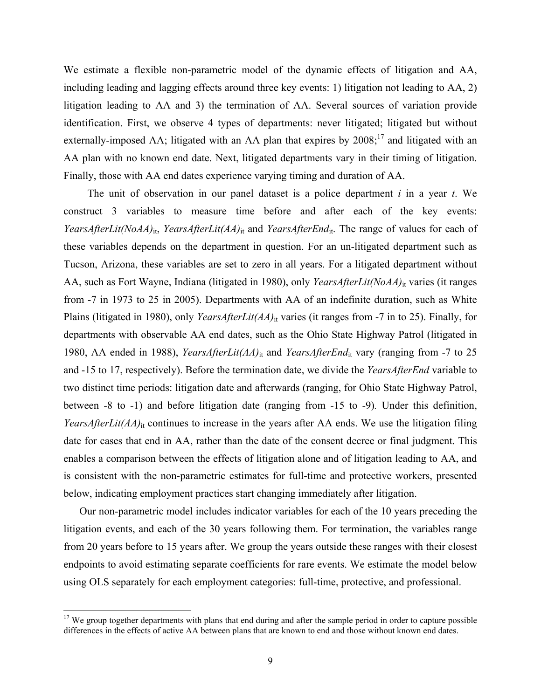We estimate a flexible non-parametric model of the dynamic effects of litigation and AA, including leading and lagging effects around three key events: 1) litigation not leading to AA, 2) litigation leading to AA and 3) the termination of AA. Several sources of variation provide identification. First, we observe 4 types of departments: never litigated; litigated but without externally-imposed AA; litigated with an AA plan that expires by 2008;<sup>17</sup> and litigated with an AA plan with no known end date. Next, litigated departments vary in their timing of litigation. Finally, those with AA end dates experience varying timing and duration of AA.

The unit of observation in our panel dataset is a police department *i* in a year *t*. We construct 3 variables to measure time before and after each of the key events: *YearsAfterLit(NoAA)*<sub>it</sub>, *YearsAfterLit(AA)*<sub>it</sub> and *YearsAfterEnd*<sub>it</sub>. The range of values for each of these variables depends on the department in question. For an un-litigated department such as Tucson, Arizona, these variables are set to zero in all years. For a litigated department without AA, such as Fort Wayne, Indiana (litigated in 1980), only *YearsAfterLit(NoAA)*<sub>it</sub> varies (it ranges from -7 in 1973 to 25 in 2005). Departments with AA of an indefinite duration, such as White Plains (litigated in 1980), only *YearsAfterLit(AA)*<sub>it</sub> varies (it ranges from -7 in to 25). Finally, for departments with observable AA end dates, such as the Ohio State Highway Patrol (litigated in 1980, AA ended in 1988), *YearsAfterLit(AA)*it and *YearsAfterEnd*it vary (ranging from -7 to 25 and -15 to 17, respectively). Before the termination date, we divide the *YearsAfterEnd* variable to two distinct time periods: litigation date and afterwards (ranging, for Ohio State Highway Patrol, between -8 to -1) and before litigation date (ranging from -15 to -9)*.* Under this definition, *YearsAfterLit(AA)*<sub>it</sub> continues to increase in the years after AA ends. We use the litigation filing date for cases that end in AA, rather than the date of the consent decree or final judgment. This enables a comparison between the effects of litigation alone and of litigation leading to AA, and is consistent with the non-parametric estimates for full-time and protective workers, presented below, indicating employment practices start changing immediately after litigation.

Our non-parametric model includes indicator variables for each of the 10 years preceding the litigation events, and each of the 30 years following them. For termination, the variables range from 20 years before to 15 years after. We group the years outside these ranges with their closest endpoints to avoid estimating separate coefficients for rare events. We estimate the model below using OLS separately for each employment categories: full-time, protective, and professional.

 $17$  We group together departments with plans that end during and after the sample period in order to capture possible differences in the effects of active AA between plans that are known to end and those without known end dates.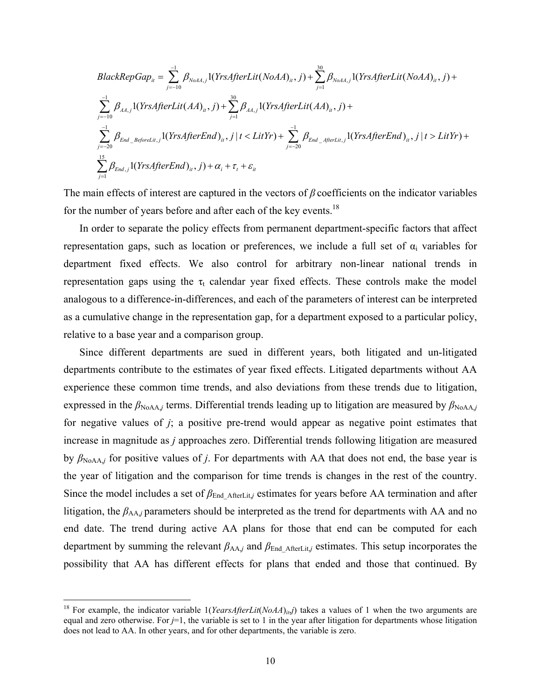$$
BlackRepGap_{it} = \sum_{j=-10}^{-1} \beta_{NoAA,j} 1(YrsAfterLit(NoAA)_{it}, j) + \sum_{j=1}^{30} \beta_{NoAA,j} 1(YrsAfterLit(NoAA)_{it}, j) +
$$
  
\n
$$
\sum_{j=-10}^{-1} \beta_{AA,j} 1(YrsAfterLit(AA)_{it}, j) + \sum_{j=1}^{30} \beta_{AA,j} 1(YrsAfterLit(AA)_{it}, j) +
$$
  
\n
$$
\sum_{j=-20}^{-1} \beta_{End\_BeforeLit,j} 1(YrsAfterEnd)_{it}, j | t < LitYr) + \sum_{j=-20}^{-1} \beta_{End\_AfterLit,j} 1(YrsAfterEnd)_{it}, j | t > LitYr) +
$$
  
\n
$$
\sum_{j=1}^{15} \beta_{End,j} 1(YrsAfterEnd)_{it}, j) + \alpha_i + \tau_i + \varepsilon_{it}
$$

The main effects of interest are captured in the vectors of *β* coefficients on the indicator variables for the number of years before and after each of the key events.<sup>18</sup>

In order to separate the policy effects from permanent department-specific factors that affect representation gaps, such as location or preferences, we include a full set of  $\alpha_i$  variables for department fixed effects. We also control for arbitrary non-linear national trends in representation gaps using the  $\tau_t$  calendar year fixed effects. These controls make the model analogous to a difference-in-differences, and each of the parameters of interest can be interpreted as a cumulative change in the representation gap, for a department exposed to a particular policy, relative to a base year and a comparison group.

Since different departments are sued in different years, both litigated and un-litigated departments contribute to the estimates of year fixed effects. Litigated departments without AA experience these common time trends, and also deviations from these trends due to litigation, expressed in the  $\beta_{\text{NoAA},j}$  terms. Differential trends leading up to litigation are measured by  $\beta_{\text{NoAA},j}$ for negative values of *j*; a positive pre-trend would appear as negative point estimates that increase in magnitude as *j* approaches zero. Differential trends following litigation are measured by  $\beta_{\text{NoAA},j}$  for positive values of *j*. For departments with AA that does not end, the base year is the year of litigation and the comparison for time trends is changes in the rest of the country. Since the model includes a set of  $\beta_{End \text{AfterLit},j}$  estimates for years before AA termination and after litigation, the  $\beta_{AA}$ *j* parameters should be interpreted as the trend for departments with AA and no end date. The trend during active AA plans for those that end can be computed for each department by summing the relevant  $\beta_{AA}$ *j* and  $\beta_{End\text{AfterLit},j}$  estimates. This setup incorporates the possibility that AA has different effects for plans that ended and those that continued. By

<sup>&</sup>lt;sup>18</sup> For example, the indicator variable  $1(YearsAfterLit(NoAA)_{it}j)$  takes a values of 1 when the two arguments are equal and zero otherwise. For *j*=1, the variable is set to 1 in the year after litigation for departments whose litigation does not lead to AA. In other years, and for other departments, the variable is zero.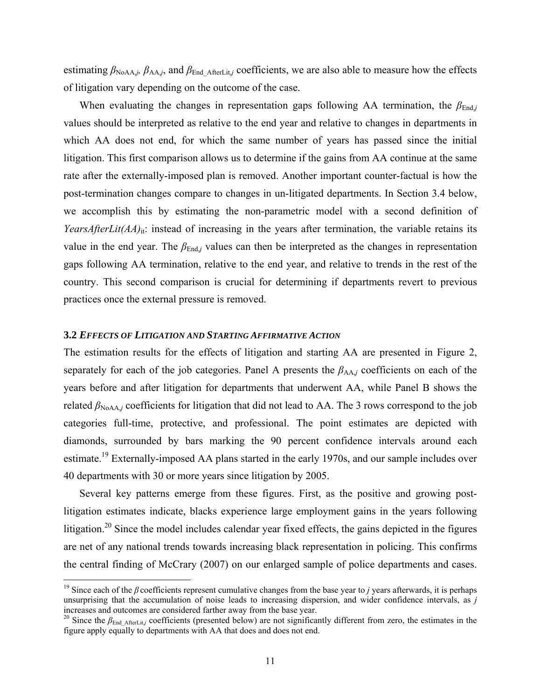estimating  $\beta_{\text{NoAA},j}$ ,  $\beta_{\text{AA},j}$ , and  $\beta_{\text{End-AfterLit},j}$  coefficients, we are also able to measure how the effects of litigation vary depending on the outcome of the case.

When evaluating the changes in representation gaps following AA termination, the  $\beta_{\text{End},j}$ values should be interpreted as relative to the end year and relative to changes in departments in which AA does not end, for which the same number of years has passed since the initial litigation. This first comparison allows us to determine if the gains from AA continue at the same rate after the externally-imposed plan is removed. Another important counter-factual is how the post-termination changes compare to changes in un-litigated departments. In Section 3.4 below, we accomplish this by estimating the non-parametric model with a second definition of *YearsAfterLit(AA)*<sub>it</sub>: instead of increasing in the years after termination, the variable retains its value in the end year. The  $\beta_{\text{End},j}$  values can then be interpreted as the changes in representation gaps following AA termination, relative to the end year, and relative to trends in the rest of the country. This second comparison is crucial for determining if departments revert to previous practices once the external pressure is removed.

#### **3.2** *EFFECTS OF LITIGATION AND STARTING AFFIRMATIVE ACTION*

1

The estimation results for the effects of litigation and starting AA are presented in Figure 2, separately for each of the job categories. Panel A presents the  $\beta_{AA}$  coefficients on each of the years before and after litigation for departments that underwent AA, while Panel B shows the related  $\beta_{\text{NoAA},j}$  coefficients for litigation that did not lead to AA. The 3 rows correspond to the job categories full-time, protective, and professional. The point estimates are depicted with diamonds, surrounded by bars marking the 90 percent confidence intervals around each estimate.19 Externally-imposed AA plans started in the early 1970s, and our sample includes over 40 departments with 30 or more years since litigation by 2005.

Several key patterns emerge from these figures. First, as the positive and growing postlitigation estimates indicate, blacks experience large employment gains in the years following litigation.<sup>20</sup> Since the model includes calendar year fixed effects, the gains depicted in the figures are net of any national trends towards increasing black representation in policing. This confirms the central finding of McCrary (2007) on our enlarged sample of police departments and cases.

<sup>&</sup>lt;sup>19</sup> Since each of the  $\beta$  coefficients represent cumulative changes from the base year to *j* years afterwards, it is perhaps unsurprising that the accumulation of noise leads to increasing dispersion, and wider confidence intervals, as  $j$  increases and outcomes are considered farther away from the base year.

<sup>&</sup>lt;sup>20</sup> Since the *β*<sub>End AfterLit,*j* coefficients (presented below) are not significantly different from zero, the estimates in the</sub> figure apply equally to departments with AA that does and does not end.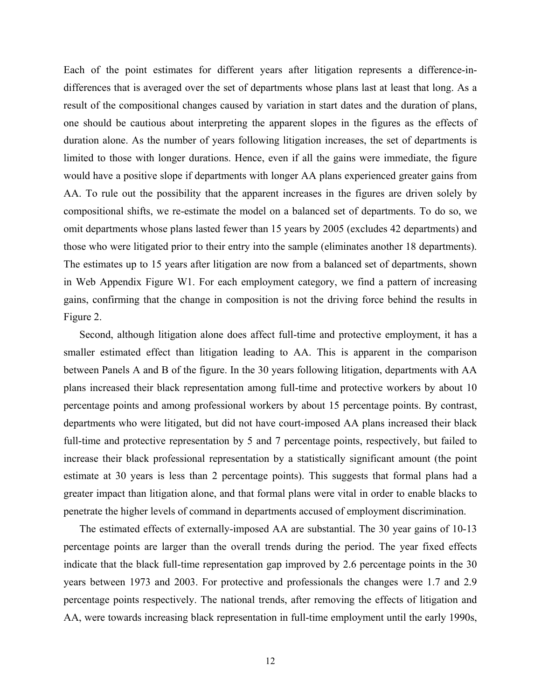Each of the point estimates for different years after litigation represents a difference-indifferences that is averaged over the set of departments whose plans last at least that long. As a result of the compositional changes caused by variation in start dates and the duration of plans, one should be cautious about interpreting the apparent slopes in the figures as the effects of duration alone. As the number of years following litigation increases, the set of departments is limited to those with longer durations. Hence, even if all the gains were immediate, the figure would have a positive slope if departments with longer AA plans experienced greater gains from AA. To rule out the possibility that the apparent increases in the figures are driven solely by compositional shifts, we re-estimate the model on a balanced set of departments. To do so, we omit departments whose plans lasted fewer than 15 years by 2005 (excludes 42 departments) and those who were litigated prior to their entry into the sample (eliminates another 18 departments). The estimates up to 15 years after litigation are now from a balanced set of departments, shown in Web Appendix Figure W1. For each employment category, we find a pattern of increasing gains, confirming that the change in composition is not the driving force behind the results in Figure 2.

Second, although litigation alone does affect full-time and protective employment, it has a smaller estimated effect than litigation leading to AA. This is apparent in the comparison between Panels A and B of the figure. In the 30 years following litigation, departments with AA plans increased their black representation among full-time and protective workers by about 10 percentage points and among professional workers by about 15 percentage points. By contrast, departments who were litigated, but did not have court-imposed AA plans increased their black full-time and protective representation by 5 and 7 percentage points, respectively, but failed to increase their black professional representation by a statistically significant amount (the point estimate at 30 years is less than 2 percentage points). This suggests that formal plans had a greater impact than litigation alone, and that formal plans were vital in order to enable blacks to penetrate the higher levels of command in departments accused of employment discrimination.

The estimated effects of externally-imposed AA are substantial. The 30 year gains of 10-13 percentage points are larger than the overall trends during the period. The year fixed effects indicate that the black full-time representation gap improved by 2.6 percentage points in the 30 years between 1973 and 2003. For protective and professionals the changes were 1.7 and 2.9 percentage points respectively. The national trends, after removing the effects of litigation and AA, were towards increasing black representation in full-time employment until the early 1990s,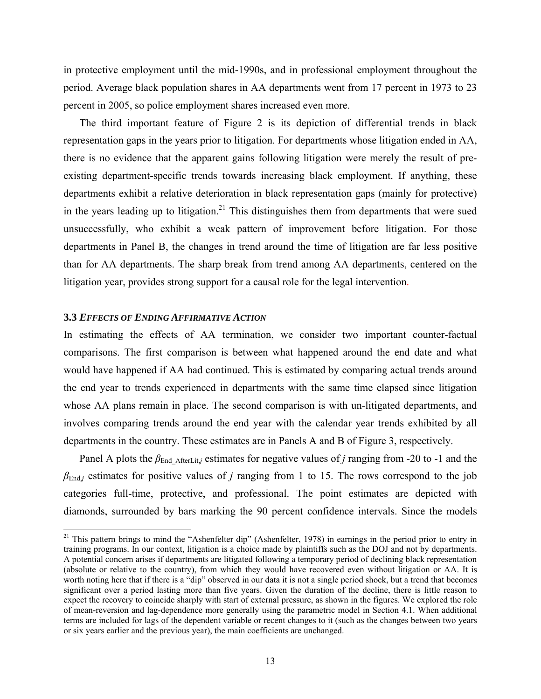in protective employment until the mid-1990s, and in professional employment throughout the period. Average black population shares in AA departments went from 17 percent in 1973 to 23 percent in 2005, so police employment shares increased even more.

The third important feature of Figure 2 is its depiction of differential trends in black representation gaps in the years prior to litigation. For departments whose litigation ended in AA, there is no evidence that the apparent gains following litigation were merely the result of preexisting department-specific trends towards increasing black employment. If anything, these departments exhibit a relative deterioration in black representation gaps (mainly for protective) in the years leading up to litigation.<sup>21</sup> This distinguishes them from departments that were sued unsuccessfully, who exhibit a weak pattern of improvement before litigation. For those departments in Panel B, the changes in trend around the time of litigation are far less positive than for AA departments. The sharp break from trend among AA departments, centered on the litigation year, provides strong support for a causal role for the legal intervention.

#### **3.3** *EFFECTS OF ENDING AFFIRMATIVE ACTION*

 $\overline{a}$ 

In estimating the effects of AA termination, we consider two important counter-factual comparisons. The first comparison is between what happened around the end date and what would have happened if AA had continued. This is estimated by comparing actual trends around the end year to trends experienced in departments with the same time elapsed since litigation whose AA plans remain in place. The second comparison is with un-litigated departments, and involves comparing trends around the end year with the calendar year trends exhibited by all departments in the country. These estimates are in Panels A and B of Figure 3, respectively.

Panel A plots the *β*<sub>End AfterLit,*j* estimates for negative values of *j* ranging from -20 to -1 and the</sub>  $\beta_{\text{End},j}$  estimates for positive values of *j* ranging from 1 to 15. The rows correspond to the job categories full-time, protective, and professional. The point estimates are depicted with diamonds, surrounded by bars marking the 90 percent confidence intervals. Since the models

 $21$  This pattern brings to mind the "Ashenfelter dip" (Ashenfelter, 1978) in earnings in the period prior to entry in training programs. In our context, litigation is a choice made by plaintiffs such as the DOJ and not by departments. A potential concern arises if departments are litigated following a temporary period of declining black representation (absolute or relative to the country), from which they would have recovered even without litigation or AA. It is worth noting here that if there is a "dip" observed in our data it is not a single period shock, but a trend that becomes significant over a period lasting more than five years. Given the duration of the decline, there is little reason to expect the recovery to coincide sharply with start of external pressure, as shown in the figures. We explored the role of mean-reversion and lag-dependence more generally using the parametric model in Section 4.1. When additional terms are included for lags of the dependent variable or recent changes to it (such as the changes between two years or six years earlier and the previous year), the main coefficients are unchanged.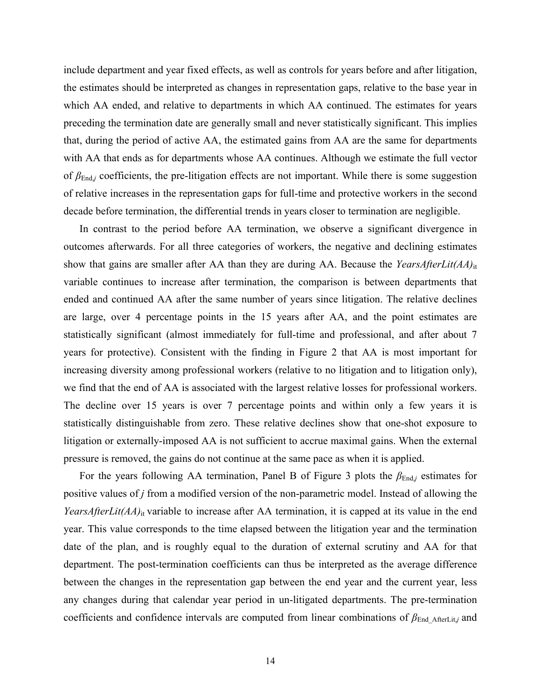include department and year fixed effects, as well as controls for years before and after litigation, the estimates should be interpreted as changes in representation gaps, relative to the base year in which AA ended, and relative to departments in which AA continued. The estimates for years preceding the termination date are generally small and never statistically significant. This implies that, during the period of active AA, the estimated gains from AA are the same for departments with AA that ends as for departments whose AA continues. Although we estimate the full vector of *β*End,*j* coefficients, the pre-litigation effects are not important. While there is some suggestion of relative increases in the representation gaps for full-time and protective workers in the second decade before termination, the differential trends in years closer to termination are negligible.

In contrast to the period before AA termination, we observe a significant divergence in outcomes afterwards. For all three categories of workers, the negative and declining estimates show that gains are smaller after AA than they are during AA. Because the *YearsAfterLit(AA)*it variable continues to increase after termination, the comparison is between departments that ended and continued AA after the same number of years since litigation. The relative declines are large, over 4 percentage points in the 15 years after AA, and the point estimates are statistically significant (almost immediately for full-time and professional, and after about 7 years for protective). Consistent with the finding in Figure 2 that AA is most important for increasing diversity among professional workers (relative to no litigation and to litigation only), we find that the end of AA is associated with the largest relative losses for professional workers. The decline over 15 years is over 7 percentage points and within only a few years it is statistically distinguishable from zero. These relative declines show that one-shot exposure to litigation or externally-imposed AA is not sufficient to accrue maximal gains. When the external pressure is removed, the gains do not continue at the same pace as when it is applied.

For the years following AA termination, Panel B of Figure 3 plots the  $\beta_{End}$  estimates for positive values of *j* from a modified version of the non-parametric model. Instead of allowing the *YearsAfterLit(AA)*<sub>it</sub> variable to increase after AA termination, it is capped at its value in the end year. This value corresponds to the time elapsed between the litigation year and the termination date of the plan, and is roughly equal to the duration of external scrutiny and AA for that department. The post-termination coefficients can thus be interpreted as the average difference between the changes in the representation gap between the end year and the current year, less any changes during that calendar year period in un-litigated departments. The pre-termination coefficients and confidence intervals are computed from linear combinations of *β*<sub>End AfterLit,*j* and</sub>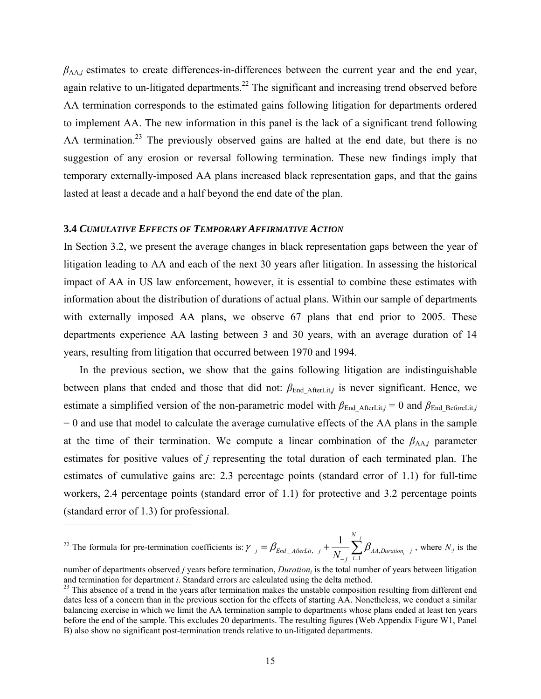$\beta_{AA,i}$  estimates to create differences-in-differences between the current year and the end year, again relative to un-litigated departments.<sup>22</sup> The significant and increasing trend observed before AA termination corresponds to the estimated gains following litigation for departments ordered to implement AA. The new information in this panel is the lack of a significant trend following AA termination.<sup>23</sup> The previously observed gains are halted at the end date, but there is no suggestion of any erosion or reversal following termination. These new findings imply that temporary externally-imposed AA plans increased black representation gaps, and that the gains lasted at least a decade and a half beyond the end date of the plan.

#### **3.4** *CUMULATIVE EFFECTS OF TEMPORARY AFFIRMATIVE ACTION*

 $\overline{a}$ 

In Section 3.2, we present the average changes in black representation gaps between the year of litigation leading to AA and each of the next 30 years after litigation. In assessing the historical impact of AA in US law enforcement, however, it is essential to combine these estimates with information about the distribution of durations of actual plans. Within our sample of departments with externally imposed AA plans, we observe 67 plans that end prior to 2005. These departments experience AA lasting between 3 and 30 years, with an average duration of 14 years, resulting from litigation that occurred between 1970 and 1994.

In the previous section, we show that the gains following litigation are indistinguishable between plans that ended and those that did not:  $\beta_{End \text{ AfterLit}}$  is never significant. Hence, we estimate a simplified version of the non-parametric model with  $\beta_{End\_AfterLit} = 0$  and  $\beta_{End\_BeforeLit}$ *j*  $= 0$  and use that model to calculate the average cumulative effects of the AA plans in the sample at the time of their termination. We compute a linear combination of the  $\beta_{AA}$  parameter estimates for positive values of *j* representing the total duration of each terminated plan. The estimates of cumulative gains are: 2.3 percentage points (standard error of 1.1) for full-time workers, 2.4 percentage points (standard error of 1.1) for protective and 3.2 percentage points (standard error of 1.3) for professional.

<sup>22</sup> The formula for pre-termination coefficients is: 
$$
\gamma_{-j} = \beta_{End\_AfterLit, -j} + \frac{1}{N_{-j}} \sum_{i=1}^{N_{-j}} \beta_{AA,Duration_i - j}
$$
, where  $N_j$  is the

*N*

number of departments observed *j* years before termination, *Duration*<sub>i</sub> is the total number of years between litigation and termination for department *i*. Standard errors are calculated using the delta method.

<sup>&</sup>lt;sup>23</sup> This absence of a trend in the years after termination makes the unstable composition resulting from different end dates less of a concern than in the previous section for the effects of starting AA. Nonetheless, we conduct a similar balancing exercise in which we limit the AA termination sample to departments whose plans ended at least ten years before the end of the sample. This excludes 20 departments. The resulting figures (Web Appendix Figure W1, Panel B) also show no significant post-termination trends relative to un-litigated departments.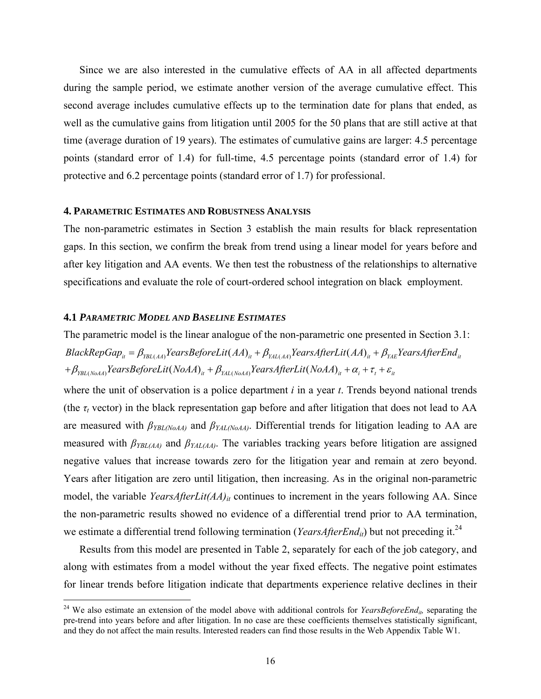Since we are also interested in the cumulative effects of AA in all affected departments during the sample period, we estimate another version of the average cumulative effect. This second average includes cumulative effects up to the termination date for plans that ended, as well as the cumulative gains from litigation until 2005 for the 50 plans that are still active at that time (average duration of 19 years). The estimates of cumulative gains are larger: 4.5 percentage points (standard error of 1.4) for full-time, 4.5 percentage points (standard error of 1.4) for protective and 6.2 percentage points (standard error of 1.7) for professional.

#### **4. PARAMETRIC ESTIMATES AND ROBUSTNESS ANALYSIS**

The non-parametric estimates in Section 3 establish the main results for black representation gaps. In this section, we confirm the break from trend using a linear model for years before and after key litigation and AA events. We then test the robustness of the relationships to alternative specifications and evaluate the role of court-ordered school integration on black employment.

#### **4.1** *PARAMETRIC MODEL AND BASELINE ESTIMATES*

 $\overline{a}$ 

The parametric model is the linear analogue of the non-parametric one presented in Section 3.1:  $BlackRepGap_{u} = \beta_{YBL(AA)} YearBeforeLit(AA)_{u} + \beta_{YAL(AA)} YearsAfterLit(AA)_{u} + \beta_{YAE} YearsAfterEnd_{u}$  $+\beta_{YBL(NoA)}$ YearsBeforeLit(NoAA)<sub>it</sub> +  $\beta_{YAL(NoA)}$ YearsAfterLit(NoAA)<sub>it</sub> +  $\alpha_{i}$  +  $\tau_{t}$  +  $\varepsilon_{ii}$ 

where the unit of observation is a police department *i* in a year *t*. Trends beyond national trends (the  $\tau_t$  vector) in the black representation gap before and after litigation that does not lead to AA are measured with *βYBL(NoAA)* and *βYAL(NoAA)*. Differential trends for litigation leading to AA are measured with *βYBL(AA)* and *βYAL(AA)*. The variables tracking years before litigation are assigned negative values that increase towards zero for the litigation year and remain at zero beyond. Years after litigation are zero until litigation, then increasing. As in the original non-parametric model, the variable *YearsAfterLit(AA)<sub>it</sub>* continues to increment in the years following AA. Since the non-parametric results showed no evidence of a differential trend prior to AA termination, we estimate a differential trend following termination (*YearsAfterEnd<sub>it</sub>*) but not preceding it.<sup>24</sup>

Results from this model are presented in Table 2, separately for each of the job category, and along with estimates from a model without the year fixed effects. The negative point estimates for linear trends before litigation indicate that departments experience relative declines in their

<sup>&</sup>lt;sup>24</sup> We also estimate an extension of the model above with additional controls for *YearsBeforeEnd<sub>it</sub>*, separating the pre-trend into years before and after litigation. In no case are these coefficients themselves statistically significant, and they do not affect the main results. Interested readers can find those results in the Web Appendix Table W1.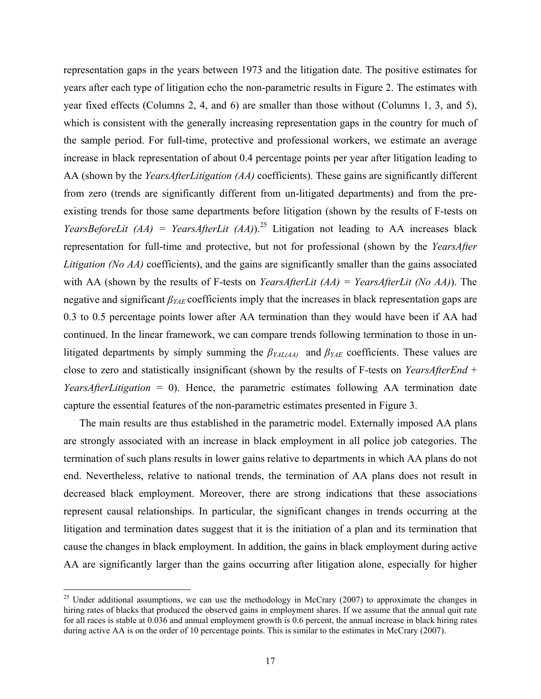representation gaps in the years between 1973 and the litigation date. The positive estimates for years after each type of litigation echo the non-parametric results in Figure 2. The estimates with year fixed effects (Columns 2, 4, and 6) are smaller than those without (Columns 1, 3, and 5), which is consistent with the generally increasing representation gaps in the country for much of the sample period. For full-time, protective and professional workers, we estimate an average increase in black representation of about 0.4 percentage points per year after litigation leading to AA (shown by the *YearsAfterLitigation (AA)* coefficients). These gains are significantly different from zero (trends are significantly different from un-litigated departments) and from the preexisting trends for those same departments before litigation (shown by the results of F-tests on *YearsBeforeLit (AA) = YearsAfterLit (AA)*).<sup>25</sup> Litigation not leading to AA increases black representation for full-time and protective, but not for professional (shown by the *YearsAfter Litigation (No AA)* coefficients), and the gains are significantly smaller than the gains associated with AA (shown by the results of F-tests on *YearsAfterLit (AA) = YearsAfterLit (No AA)*). The negative and significant *βYAE* coefficients imply that the increases in black representation gaps are 0.3 to 0.5 percentage points lower after AA termination than they would have been if AA had continued. In the linear framework, we can compare trends following termination to those in unlitigated departments by simply summing the *βYAL(AA)* and *βYAE* coefficients. These values are close to zero and statistically insignificant (shown by the results of F-tests on *YearsAfterEnd* + *YearsAfterLitigation* = 0). Hence, the parametric estimates following AA termination date capture the essential features of the non-parametric estimates presented in Figure 3.

The main results are thus established in the parametric model. Externally imposed AA plans are strongly associated with an increase in black employment in all police job categories. The termination of such plans results in lower gains relative to departments in which AA plans do not end. Nevertheless, relative to national trends, the termination of AA plans does not result in decreased black employment. Moreover, there are strong indications that these associations represent causal relationships. In particular, the significant changes in trends occurring at the litigation and termination dates suggest that it is the initiation of a plan and its termination that cause the changes in black employment. In addition, the gains in black employment during active AA are significantly larger than the gains occurring after litigation alone, especially for higher

<u>.</u>

<sup>&</sup>lt;sup>25</sup> Under additional assumptions, we can use the methodology in McCrary (2007) to approximate the changes in hiring rates of blacks that produced the observed gains in employment shares. If we assume that the annual quit rate for all races is stable at 0.036 and annual employment growth is 0.6 percent, the annual increase in black hiring rates during active AA is on the order of 10 percentage points. This is similar to the estimates in McCrary (2007).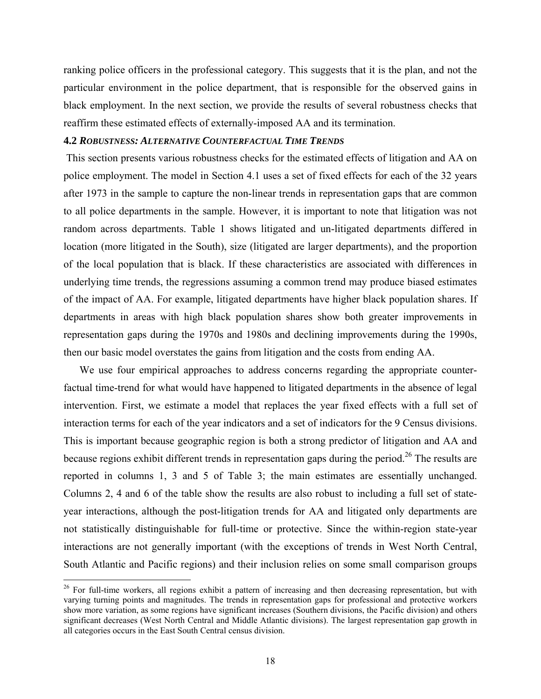ranking police officers in the professional category. This suggests that it is the plan, and not the particular environment in the police department, that is responsible for the observed gains in black employment. In the next section, we provide the results of several robustness checks that reaffirm these estimated effects of externally-imposed AA and its termination.

### **4.2** *ROBUSTNESS: ALTERNATIVE COUNTERFACTUAL TIME TRENDS*

 This section presents various robustness checks for the estimated effects of litigation and AA on police employment. The model in Section 4.1 uses a set of fixed effects for each of the 32 years after 1973 in the sample to capture the non-linear trends in representation gaps that are common to all police departments in the sample. However, it is important to note that litigation was not random across departments. Table 1 shows litigated and un-litigated departments differed in location (more litigated in the South), size (litigated are larger departments), and the proportion of the local population that is black. If these characteristics are associated with differences in underlying time trends, the regressions assuming a common trend may produce biased estimates of the impact of AA. For example, litigated departments have higher black population shares. If departments in areas with high black population shares show both greater improvements in representation gaps during the 1970s and 1980s and declining improvements during the 1990s, then our basic model overstates the gains from litigation and the costs from ending AA.

We use four empirical approaches to address concerns regarding the appropriate counterfactual time-trend for what would have happened to litigated departments in the absence of legal intervention. First, we estimate a model that replaces the year fixed effects with a full set of interaction terms for each of the year indicators and a set of indicators for the 9 Census divisions. This is important because geographic region is both a strong predictor of litigation and AA and because regions exhibit different trends in representation gaps during the period.<sup>26</sup> The results are reported in columns 1, 3 and 5 of Table 3; the main estimates are essentially unchanged. Columns 2, 4 and 6 of the table show the results are also robust to including a full set of stateyear interactions, although the post-litigation trends for AA and litigated only departments are not statistically distinguishable for full-time or protective. Since the within-region state-year interactions are not generally important (with the exceptions of trends in West North Central, South Atlantic and Pacific regions) and their inclusion relies on some small comparison groups

1

<sup>&</sup>lt;sup>26</sup> For full-time workers, all regions exhibit a pattern of increasing and then decreasing representation, but with varying turning points and magnitudes. The trends in representation gaps for professional and protective workers show more variation, as some regions have significant increases (Southern divisions, the Pacific division) and others significant decreases (West North Central and Middle Atlantic divisions). The largest representation gap growth in all categories occurs in the East South Central census division.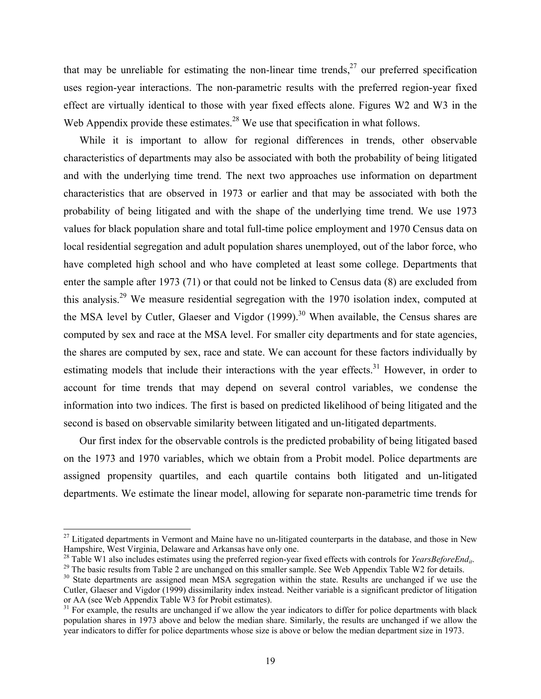that may be unreliable for estimating the non-linear time trends,  $27$  our preferred specification uses region-year interactions. The non-parametric results with the preferred region-year fixed effect are virtually identical to those with year fixed effects alone. Figures W2 and W3 in the Web Appendix provide these estimates.<sup>28</sup> We use that specification in what follows.

While it is important to allow for regional differences in trends, other observable characteristics of departments may also be associated with both the probability of being litigated and with the underlying time trend. The next two approaches use information on department characteristics that are observed in 1973 or earlier and that may be associated with both the probability of being litigated and with the shape of the underlying time trend. We use 1973 values for black population share and total full-time police employment and 1970 Census data on local residential segregation and adult population shares unemployed, out of the labor force, who have completed high school and who have completed at least some college. Departments that enter the sample after 1973 (71) or that could not be linked to Census data (8) are excluded from this analysis.<sup>29</sup> We measure residential segregation with the 1970 isolation index, computed at the MSA level by Cutler, Glaeser and Vigdor  $(1999)$ <sup>30</sup> When available, the Census shares are computed by sex and race at the MSA level. For smaller city departments and for state agencies, the shares are computed by sex, race and state. We can account for these factors individually by estimating models that include their interactions with the year effects.<sup>31</sup> However, in order to account for time trends that may depend on several control variables, we condense the information into two indices. The first is based on predicted likelihood of being litigated and the second is based on observable similarity between litigated and un-litigated departments.

Our first index for the observable controls is the predicted probability of being litigated based on the 1973 and 1970 variables, which we obtain from a Probit model. Police departments are assigned propensity quartiles, and each quartile contains both litigated and un-litigated departments. We estimate the linear model, allowing for separate non-parametric time trends for

 $27$  Litigated departments in Vermont and Maine have no un-litigated counterparts in the database, and those in New Hampshire, West Virginia, Delaware and Arkansas have only one.<br><sup>28</sup> Table W1 also includes estimates using the preferred region-year fixed effects with controls for *YearsBeforeEnd<sub>it</sub>*.

<sup>&</sup>lt;sup>29</sup> The basic results from Table 2 are unchanged on this smaller sample. See Web Appendix Table W2 for details.

<sup>&</sup>lt;sup>30</sup> State departments are assigned mean MSA segregation within the state. Results are unchanged if we use the Cutler, Glaeser and Vigdor (1999) dissimilarity index instead. Neither variable is a significant predictor of litigation or AA (see Web Appendix Table W3 for Probit estimates).

<sup>&</sup>lt;sup>31</sup> For example, the results are unchanged if we allow the year indicators to differ for police departments with black population shares in 1973 above and below the median share. Similarly, the results are unchanged if we allow the year indicators to differ for police departments whose size is above or below the median department size in 1973.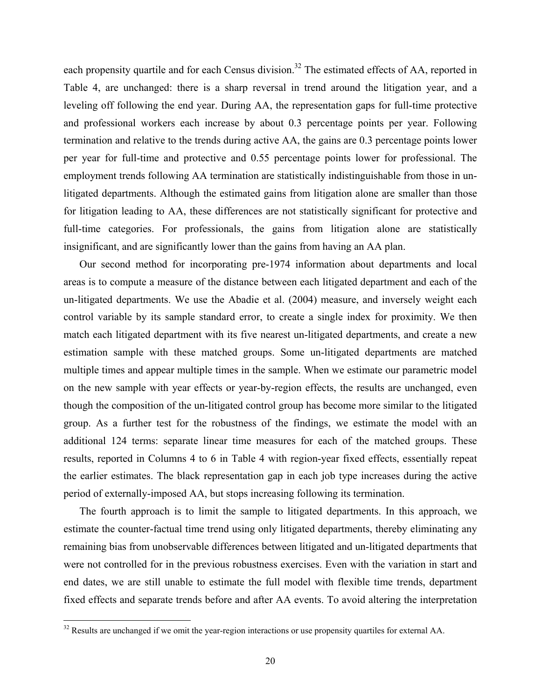each propensity quartile and for each Census division.<sup>32</sup> The estimated effects of AA, reported in Table 4, are unchanged: there is a sharp reversal in trend around the litigation year, and a leveling off following the end year. During AA, the representation gaps for full-time protective and professional workers each increase by about 0.3 percentage points per year. Following termination and relative to the trends during active AA, the gains are 0.3 percentage points lower per year for full-time and protective and 0.55 percentage points lower for professional. The employment trends following AA termination are statistically indistinguishable from those in unlitigated departments. Although the estimated gains from litigation alone are smaller than those for litigation leading to AA, these differences are not statistically significant for protective and full-time categories. For professionals, the gains from litigation alone are statistically insignificant, and are significantly lower than the gains from having an AA plan.

Our second method for incorporating pre-1974 information about departments and local areas is to compute a measure of the distance between each litigated department and each of the un-litigated departments. We use the Abadie et al. (2004) measure, and inversely weight each control variable by its sample standard error, to create a single index for proximity. We then match each litigated department with its five nearest un-litigated departments, and create a new estimation sample with these matched groups. Some un-litigated departments are matched multiple times and appear multiple times in the sample. When we estimate our parametric model on the new sample with year effects or year-by-region effects, the results are unchanged, even though the composition of the un-litigated control group has become more similar to the litigated group. As a further test for the robustness of the findings, we estimate the model with an additional 124 terms: separate linear time measures for each of the matched groups. These results, reported in Columns 4 to 6 in Table 4 with region-year fixed effects, essentially repeat the earlier estimates. The black representation gap in each job type increases during the active period of externally-imposed AA, but stops increasing following its termination.

The fourth approach is to limit the sample to litigated departments. In this approach, we estimate the counter-factual time trend using only litigated departments, thereby eliminating any remaining bias from unobservable differences between litigated and un-litigated departments that were not controlled for in the previous robustness exercises. Even with the variation in start and end dates, we are still unable to estimate the full model with flexible time trends, department fixed effects and separate trends before and after AA events. To avoid altering the interpretation

 $32$  Results are unchanged if we omit the year-region interactions or use propensity quartiles for external AA.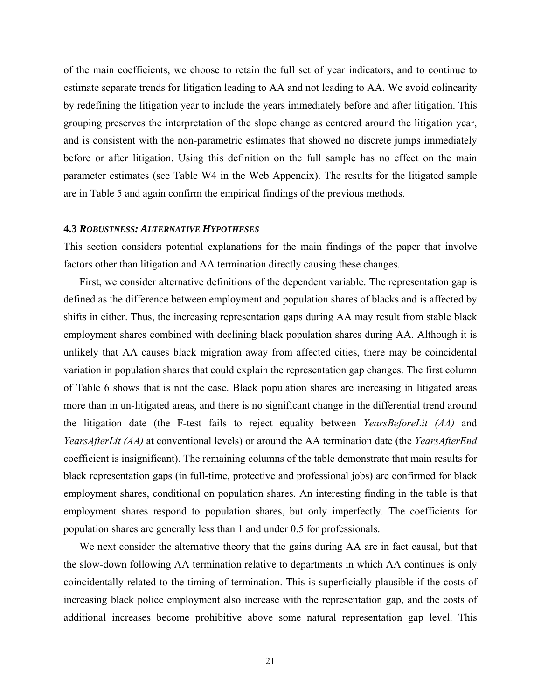of the main coefficients, we choose to retain the full set of year indicators, and to continue to estimate separate trends for litigation leading to AA and not leading to AA. We avoid colinearity by redefining the litigation year to include the years immediately before and after litigation. This grouping preserves the interpretation of the slope change as centered around the litigation year, and is consistent with the non-parametric estimates that showed no discrete jumps immediately before or after litigation. Using this definition on the full sample has no effect on the main parameter estimates (see Table W4 in the Web Appendix). The results for the litigated sample are in Table 5 and again confirm the empirical findings of the previous methods.

#### **4.3** *ROBUSTNESS: ALTERNATIVE HYPOTHESES*

This section considers potential explanations for the main findings of the paper that involve factors other than litigation and AA termination directly causing these changes.

First, we consider alternative definitions of the dependent variable. The representation gap is defined as the difference between employment and population shares of blacks and is affected by shifts in either. Thus, the increasing representation gaps during AA may result from stable black employment shares combined with declining black population shares during AA. Although it is unlikely that AA causes black migration away from affected cities, there may be coincidental variation in population shares that could explain the representation gap changes. The first column of Table 6 shows that is not the case. Black population shares are increasing in litigated areas more than in un-litigated areas, and there is no significant change in the differential trend around the litigation date (the F-test fails to reject equality between *YearsBeforeLit (AA)* and *YearsAfterLit (AA)* at conventional levels) or around the AA termination date (the *YearsAfterEnd* coefficient is insignificant). The remaining columns of the table demonstrate that main results for black representation gaps (in full-time, protective and professional jobs) are confirmed for black employment shares, conditional on population shares. An interesting finding in the table is that employment shares respond to population shares, but only imperfectly. The coefficients for population shares are generally less than 1 and under 0.5 for professionals.

We next consider the alternative theory that the gains during AA are in fact causal, but that the slow-down following AA termination relative to departments in which AA continues is only coincidentally related to the timing of termination. This is superficially plausible if the costs of increasing black police employment also increase with the representation gap, and the costs of additional increases become prohibitive above some natural representation gap level. This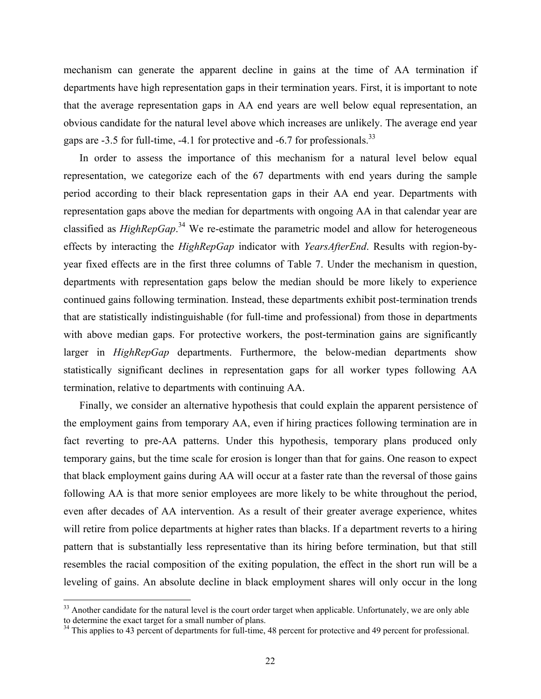mechanism can generate the apparent decline in gains at the time of AA termination if departments have high representation gaps in their termination years. First, it is important to note that the average representation gaps in AA end years are well below equal representation, an obvious candidate for the natural level above which increases are unlikely. The average end year gaps are  $-3.5$  for full-time,  $-4.1$  for protective and  $-6.7$  for professionals.<sup>33</sup>

In order to assess the importance of this mechanism for a natural level below equal representation, we categorize each of the 67 departments with end years during the sample period according to their black representation gaps in their AA end year. Departments with representation gaps above the median for departments with ongoing AA in that calendar year are classified as *HighRepGap*. 34 We re-estimate the parametric model and allow for heterogeneous effects by interacting the *HighRepGap* indicator with *YearsAfterEnd*. Results with region-byyear fixed effects are in the first three columns of Table 7. Under the mechanism in question, departments with representation gaps below the median should be more likely to experience continued gains following termination. Instead, these departments exhibit post-termination trends that are statistically indistinguishable (for full-time and professional) from those in departments with above median gaps. For protective workers, the post-termination gains are significantly larger in *HighRepGap* departments. Furthermore, the below-median departments show statistically significant declines in representation gaps for all worker types following AA termination, relative to departments with continuing AA.

Finally, we consider an alternative hypothesis that could explain the apparent persistence of the employment gains from temporary AA, even if hiring practices following termination are in fact reverting to pre-AA patterns. Under this hypothesis, temporary plans produced only temporary gains, but the time scale for erosion is longer than that for gains. One reason to expect that black employment gains during AA will occur at a faster rate than the reversal of those gains following AA is that more senior employees are more likely to be white throughout the period, even after decades of AA intervention. As a result of their greater average experience, whites will retire from police departments at higher rates than blacks. If a department reverts to a hiring pattern that is substantially less representative than its hiring before termination, but that still resembles the racial composition of the exiting population, the effect in the short run will be a leveling of gains. An absolute decline in black employment shares will only occur in the long

<sup>&</sup>lt;sup>33</sup> Another candidate for the natural level is the court order target when applicable. Unfortunately, we are only able to determine the exact target for a small number of plans.

 $34$  This applies to 43 percent of departments for full-time, 48 percent for protective and 49 percent for professional.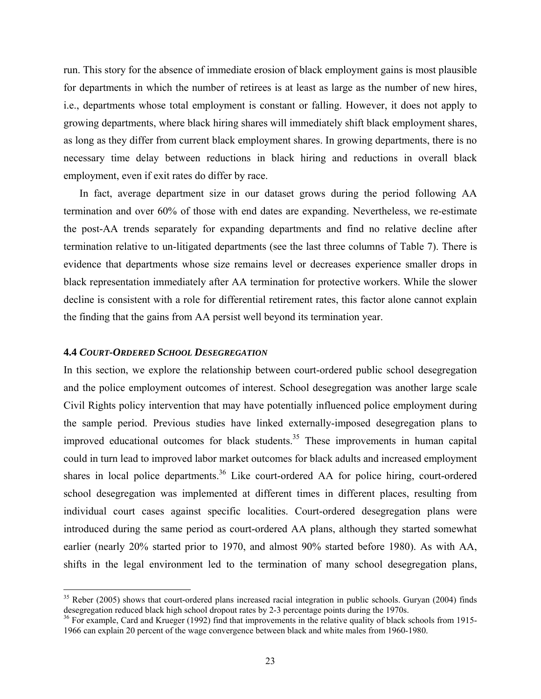run. This story for the absence of immediate erosion of black employment gains is most plausible for departments in which the number of retirees is at least as large as the number of new hires, i.e., departments whose total employment is constant or falling. However, it does not apply to growing departments, where black hiring shares will immediately shift black employment shares, as long as they differ from current black employment shares. In growing departments, there is no necessary time delay between reductions in black hiring and reductions in overall black employment, even if exit rates do differ by race.

In fact, average department size in our dataset grows during the period following AA termination and over 60% of those with end dates are expanding. Nevertheless, we re-estimate the post-AA trends separately for expanding departments and find no relative decline after termination relative to un-litigated departments (see the last three columns of Table 7). There is evidence that departments whose size remains level or decreases experience smaller drops in black representation immediately after AA termination for protective workers. While the slower decline is consistent with a role for differential retirement rates, this factor alone cannot explain the finding that the gains from AA persist well beyond its termination year.

#### **4.4** *COURT-ORDERED SCHOOL DESEGREGATION*

 $\overline{a}$ 

In this section, we explore the relationship between court-ordered public school desegregation and the police employment outcomes of interest. School desegregation was another large scale Civil Rights policy intervention that may have potentially influenced police employment during the sample period. Previous studies have linked externally-imposed desegregation plans to improved educational outcomes for black students.<sup>35</sup> These improvements in human capital could in turn lead to improved labor market outcomes for black adults and increased employment shares in local police departments.<sup>36</sup> Like court-ordered AA for police hiring, court-ordered school desegregation was implemented at different times in different places, resulting from individual court cases against specific localities. Court-ordered desegregation plans were introduced during the same period as court-ordered AA plans, although they started somewhat earlier (nearly 20% started prior to 1970, and almost 90% started before 1980). As with AA, shifts in the legal environment led to the termination of many school desegregation plans,

 $35$  Reber (2005) shows that court-ordered plans increased racial integration in public schools. Guryan (2004) finds desegregation reduced black high school dropout rates by 2-3 percentage points during the 1970s.

 $36$  For example, Card and Krueger (1992) find that improvements in the relative quality of black schools from 1915-1966 can explain 20 percent of the wage convergence between black and white males from 1960-1980.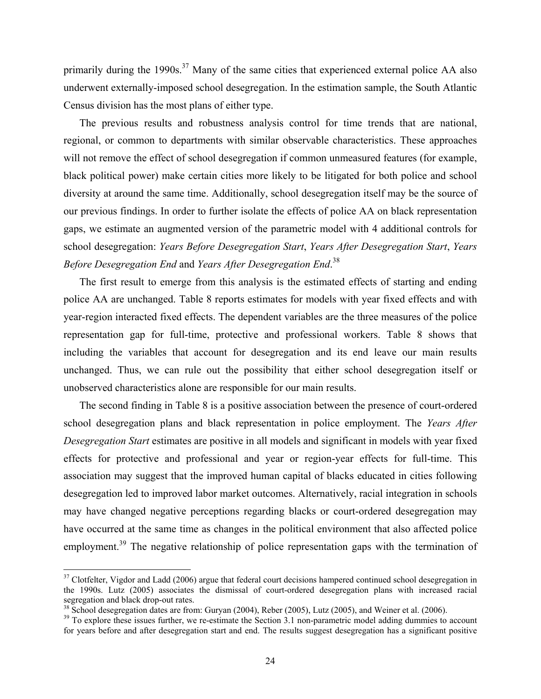primarily during the 1990s.<sup>37</sup> Many of the same cities that experienced external police AA also underwent externally-imposed school desegregation. In the estimation sample, the South Atlantic Census division has the most plans of either type.

The previous results and robustness analysis control for time trends that are national, regional, or common to departments with similar observable characteristics. These approaches will not remove the effect of school desegregation if common unmeasured features (for example, black political power) make certain cities more likely to be litigated for both police and school diversity at around the same time. Additionally, school desegregation itself may be the source of our previous findings. In order to further isolate the effects of police AA on black representation gaps, we estimate an augmented version of the parametric model with 4 additional controls for school desegregation: *Years Before Desegregation Start*, *Years After Desegregation Start*, *Years Before Desegregation End* and *Years After Desegregation End*. 38

The first result to emerge from this analysis is the estimated effects of starting and ending police AA are unchanged. Table 8 reports estimates for models with year fixed effects and with year-region interacted fixed effects. The dependent variables are the three measures of the police representation gap for full-time, protective and professional workers. Table 8 shows that including the variables that account for desegregation and its end leave our main results unchanged. Thus, we can rule out the possibility that either school desegregation itself or unobserved characteristics alone are responsible for our main results.

The second finding in Table 8 is a positive association between the presence of court-ordered school desegregation plans and black representation in police employment. The *Years After Desegregation Start* estimates are positive in all models and significant in models with year fixed effects for protective and professional and year or region-year effects for full-time. This association may suggest that the improved human capital of blacks educated in cities following desegregation led to improved labor market outcomes. Alternatively, racial integration in schools may have changed negative perceptions regarding blacks or court-ordered desegregation may have occurred at the same time as changes in the political environment that also affected police employment.<sup>39</sup> The negative relationship of police representation gaps with the termination of

1

 $37$  Clotfelter, Vigdor and Ladd (2006) argue that federal court decisions hampered continued school desegregation in the 1990s. Lutz (2005) associates the dismissal of court-ordered desegregation plans with increased racial segregation and black drop-out rates.

<sup>&</sup>lt;sup>38</sup> School desegregation dates are from: Guryan (2004), Reber (2005), Lutz (2005), and Weiner et al. (2006).

<sup>&</sup>lt;sup>39</sup> To explore these issues further, we re-estimate the Section 3.1 non-parametric model adding dummies to account for years before and after desegregation start and end. The results suggest desegregation has a significant positive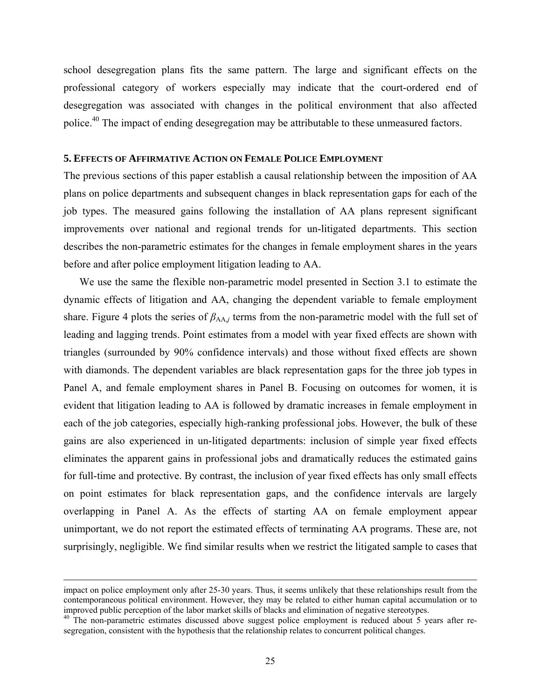school desegregation plans fits the same pattern. The large and significant effects on the professional category of workers especially may indicate that the court-ordered end of desegregation was associated with changes in the political environment that also affected police.40 The impact of ending desegregation may be attributable to these unmeasured factors.

#### **5. EFFECTS OF AFFIRMATIVE ACTION ON FEMALE POLICE EMPLOYMENT**

The previous sections of this paper establish a causal relationship between the imposition of AA plans on police departments and subsequent changes in black representation gaps for each of the job types. The measured gains following the installation of AA plans represent significant improvements over national and regional trends for un-litigated departments. This section describes the non-parametric estimates for the changes in female employment shares in the years before and after police employment litigation leading to AA.

We use the same the flexible non-parametric model presented in Section 3.1 to estimate the dynamic effects of litigation and AA, changing the dependent variable to female employment share. Figure 4 plots the series of  $\beta_{AA}$ *j* terms from the non-parametric model with the full set of leading and lagging trends. Point estimates from a model with year fixed effects are shown with triangles (surrounded by 90% confidence intervals) and those without fixed effects are shown with diamonds. The dependent variables are black representation gaps for the three job types in Panel A, and female employment shares in Panel B. Focusing on outcomes for women, it is evident that litigation leading to AA is followed by dramatic increases in female employment in each of the job categories, especially high-ranking professional jobs. However, the bulk of these gains are also experienced in un-litigated departments: inclusion of simple year fixed effects eliminates the apparent gains in professional jobs and dramatically reduces the estimated gains for full-time and protective. By contrast, the inclusion of year fixed effects has only small effects on point estimates for black representation gaps, and the confidence intervals are largely overlapping in Panel A. As the effects of starting AA on female employment appear unimportant, we do not report the estimated effects of terminating AA programs. These are, not surprisingly, negligible. We find similar results when we restrict the litigated sample to cases that

impact on police employment only after 25-30 years. Thus, it seems unlikely that these relationships result from the contemporaneous political environment. However, they may be related to either human capital accumulation or to improved public perception of the labor market skills of blacks and elimination of negative stereotypes.

 $40$  The non-parametric estimates discussed above suggest police employment is reduced about 5 years after resegregation, consistent with the hypothesis that the relationship relates to concurrent political changes.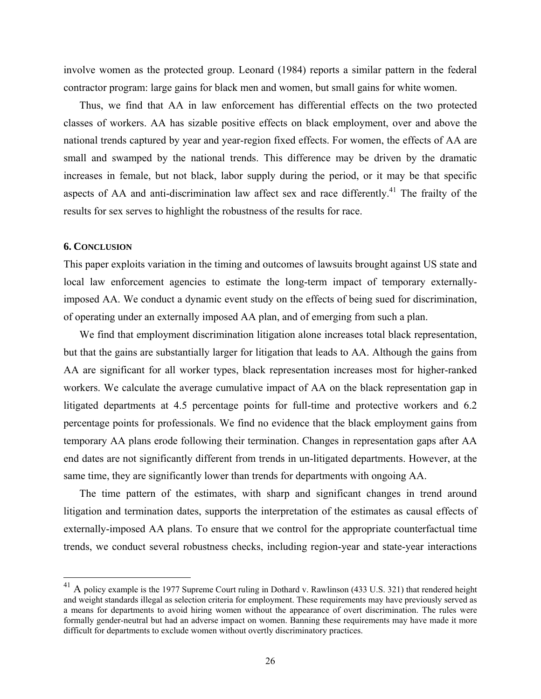involve women as the protected group. Leonard (1984) reports a similar pattern in the federal contractor program: large gains for black men and women, but small gains for white women.

Thus, we find that AA in law enforcement has differential effects on the two protected classes of workers. AA has sizable positive effects on black employment, over and above the national trends captured by year and year-region fixed effects. For women, the effects of AA are small and swamped by the national trends. This difference may be driven by the dramatic increases in female, but not black, labor supply during the period, or it may be that specific aspects of AA and anti-discrimination law affect sex and race differently.<sup>41</sup> The frailty of the results for sex serves to highlight the robustness of the results for race.

#### **6. CONCLUSION**

 $\overline{a}$ 

This paper exploits variation in the timing and outcomes of lawsuits brought against US state and local law enforcement agencies to estimate the long-term impact of temporary externallyimposed AA. We conduct a dynamic event study on the effects of being sued for discrimination, of operating under an externally imposed AA plan, and of emerging from such a plan.

We find that employment discrimination litigation alone increases total black representation, but that the gains are substantially larger for litigation that leads to AA. Although the gains from AA are significant for all worker types, black representation increases most for higher-ranked workers. We calculate the average cumulative impact of AA on the black representation gap in litigated departments at 4.5 percentage points for full-time and protective workers and 6.2 percentage points for professionals. We find no evidence that the black employment gains from temporary AA plans erode following their termination. Changes in representation gaps after AA end dates are not significantly different from trends in un-litigated departments. However, at the same time, they are significantly lower than trends for departments with ongoing AA.

The time pattern of the estimates, with sharp and significant changes in trend around litigation and termination dates, supports the interpretation of the estimates as causal effects of externally-imposed AA plans. To ensure that we control for the appropriate counterfactual time trends, we conduct several robustness checks, including region-year and state-year interactions

 $^{41}$  A policy example is the 1977 Supreme Court ruling in Dothard v. Rawlinson (433 U.S. 321) that rendered height and weight standards illegal as selection criteria for employment. These requirements may have previously served as a means for departments to avoid hiring women without the appearance of overt discrimination. The rules were formally gender-neutral but had an adverse impact on women. Banning these requirements may have made it more difficult for departments to exclude women without overtly discriminatory practices.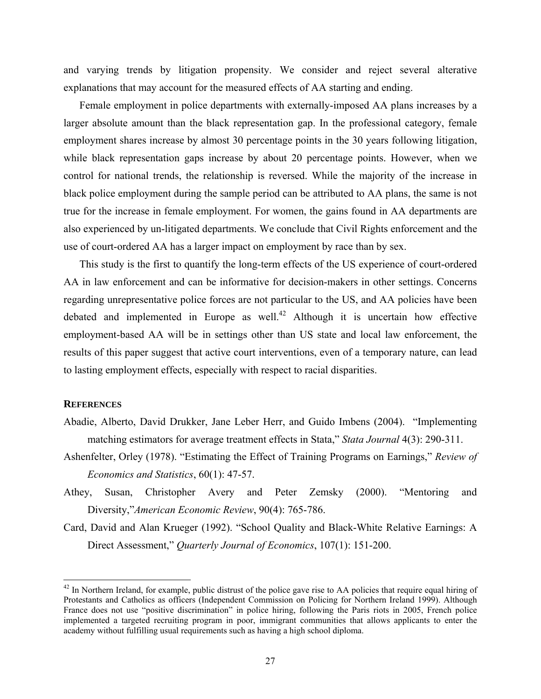and varying trends by litigation propensity. We consider and reject several alterative explanations that may account for the measured effects of AA starting and ending.

Female employment in police departments with externally-imposed AA plans increases by a larger absolute amount than the black representation gap. In the professional category, female employment shares increase by almost 30 percentage points in the 30 years following litigation, while black representation gaps increase by about 20 percentage points. However, when we control for national trends, the relationship is reversed. While the majority of the increase in black police employment during the sample period can be attributed to AA plans, the same is not true for the increase in female employment. For women, the gains found in AA departments are also experienced by un-litigated departments. We conclude that Civil Rights enforcement and the use of court-ordered AA has a larger impact on employment by race than by sex.

This study is the first to quantify the long-term effects of the US experience of court-ordered AA in law enforcement and can be informative for decision-makers in other settings. Concerns regarding unrepresentative police forces are not particular to the US, and AA policies have been debated and implemented in Europe as well.<sup>42</sup> Although it is uncertain how effective employment-based AA will be in settings other than US state and local law enforcement, the results of this paper suggest that active court interventions, even of a temporary nature, can lead to lasting employment effects, especially with respect to racial disparities.

#### **REFERENCES**

- Abadie, Alberto, David Drukker, Jane Leber Herr, and Guido Imbens (2004). "Implementing matching estimators for average treatment effects in Stata," *Stata Journal* 4(3): 290-311.
- Ashenfelter, Orley (1978). "Estimating the Effect of Training Programs on Earnings," *Review of Economics and Statistics*, 60(1): 47-57.
- Athey, Susan, Christopher Avery and Peter Zemsky (2000). "Mentoring and Diversity,"*American Economic Review*, 90(4): 765-786.
- Card, David and Alan Krueger (1992). "School Quality and Black-White Relative Earnings: A Direct Assessment," *Quarterly Journal of Economics*, 107(1): 151-200.

 $42$  In Northern Ireland, for example, public distrust of the police gave rise to AA policies that require equal hiring of Protestants and Catholics as officers (Independent Commission on Policing for Northern Ireland 1999). Although France does not use "positive discrimination" in police hiring, following the Paris riots in 2005, French police implemented a targeted recruiting program in poor, immigrant communities that allows applicants to enter the academy without fulfilling usual requirements such as having a high school diploma.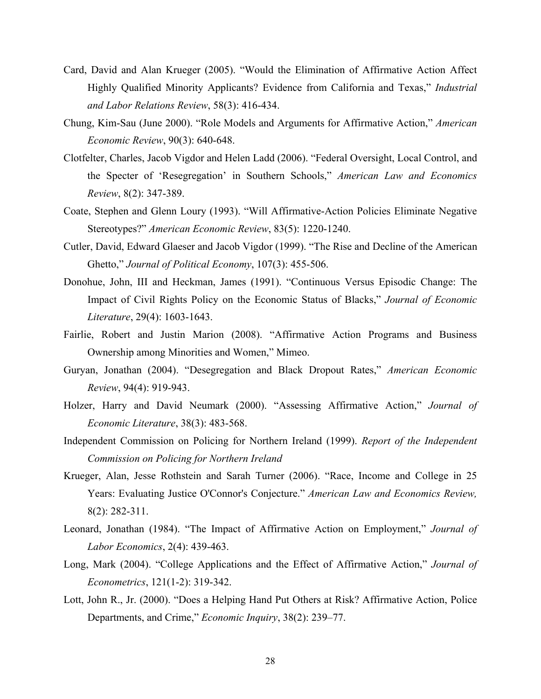- Card, David and Alan Krueger (2005). "Would the Elimination of Affirmative Action Affect Highly Qualified Minority Applicants? Evidence from California and Texas," *Industrial and Labor Relations Review*, 58(3): 416-434.
- Chung, Kim-Sau (June 2000). "Role Models and Arguments for Affirmative Action," *American Economic Review*, 90(3): 640-648.
- Clotfelter, Charles, Jacob Vigdor and Helen Ladd (2006). "Federal Oversight, Local Control, and the Specter of 'Resegregation' in Southern Schools," *American Law and Economics Review*, 8(2): 347-389.
- Coate, Stephen and Glenn Loury (1993). "Will Affirmative-Action Policies Eliminate Negative Stereotypes?" *American Economic Review*, 83(5): 1220-1240.
- Cutler, David, Edward Glaeser and Jacob Vigdor (1999). "The Rise and Decline of the American Ghetto," *Journal of Political Economy*, 107(3): 455-506.
- Donohue, John, III and Heckman, James (1991). "Continuous Versus Episodic Change: The Impact of Civil Rights Policy on the Economic Status of Blacks," *Journal of Economic Literature*, 29(4): 1603-1643.
- Fairlie, Robert and Justin Marion (2008). "Affirmative Action Programs and Business Ownership among Minorities and Women," Mimeo.
- Guryan, Jonathan (2004). "Desegregation and Black Dropout Rates," *American Economic Review*, 94(4): 919-943.
- Holzer, Harry and David Neumark (2000). "Assessing Affirmative Action," *Journal of Economic Literature*, 38(3): 483-568.
- Independent Commission on Policing for Northern Ireland (1999). *Report of the Independent Commission on Policing for Northern Ireland*
- Krueger, Alan, Jesse Rothstein and Sarah Turner (2006). "Race, Income and College in 25 Years: Evaluating Justice O'Connor's Conjecture." *American Law and Economics Review,* 8(2): 282-311.
- Leonard, Jonathan (1984). "The Impact of Affirmative Action on Employment," *Journal of Labor Economics*, 2(4): 439-463.
- Long, Mark (2004). "College Applications and the Effect of Affirmative Action," *Journal of Econometrics*, 121(1-2): 319-342.
- Lott, John R., Jr. (2000). "Does a Helping Hand Put Others at Risk? Affirmative Action, Police Departments, and Crime," *Economic Inquiry*, 38(2): 239–77.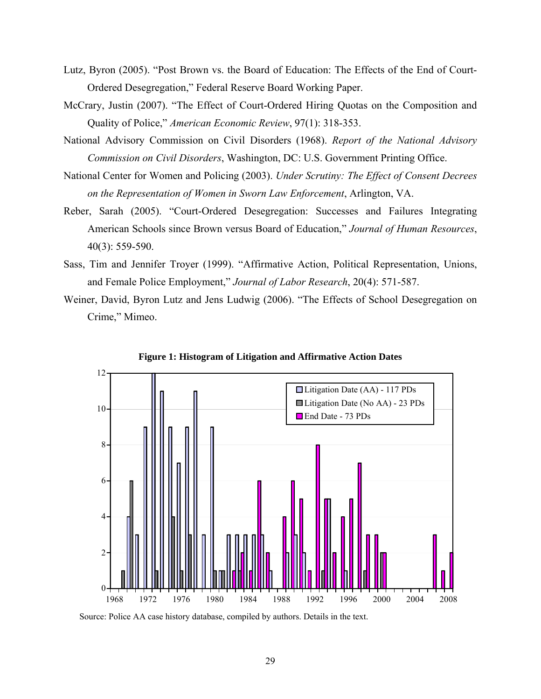- Lutz, Byron (2005). "Post Brown vs. the Board of Education: The Effects of the End of Court-Ordered Desegregation," Federal Reserve Board Working Paper.
- McCrary, Justin (2007). "The Effect of Court-Ordered Hiring Quotas on the Composition and Quality of Police," *American Economic Review*, 97(1): 318-353.
- National Advisory Commission on Civil Disorders (1968). *Report of the National Advisory Commission on Civil Disorders*, Washington, DC: U.S. Government Printing Office.
- National Center for Women and Policing (2003). *Under Scrutiny: The Effect of Consent Decrees on the Representation of Women in Sworn Law Enforcement*, Arlington, VA.
- Reber, Sarah (2005). "Court-Ordered Desegregation: Successes and Failures Integrating American Schools since Brown versus Board of Education," *Journal of Human Resources*, 40(3): 559-590.
- Sass, Tim and Jennifer Troyer (1999). "Affirmative Action, Political Representation, Unions, and Female Police Employment," *Journal of Labor Research*, 20(4): 571-587.
- Weiner, David, Byron Lutz and Jens Ludwig (2006). "The Effects of School Desegregation on Crime," Mimeo.



**Figure 1: Histogram of Litigation and Affirmative Action Dates** 

Source: Police AA case history database, compiled by authors. Details in the text.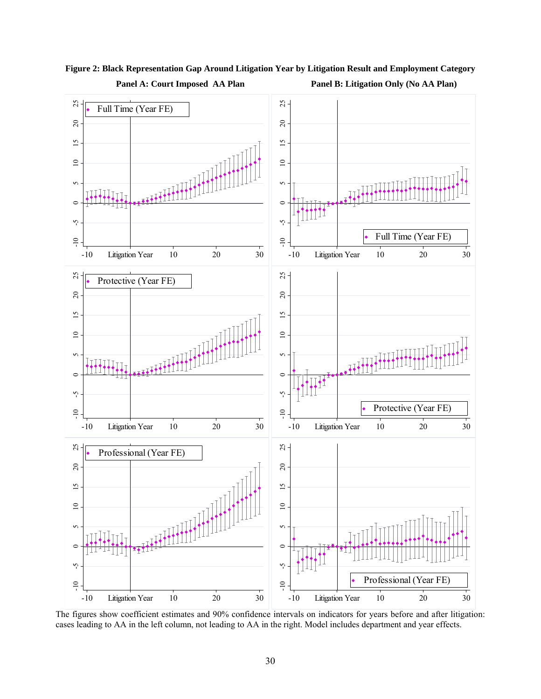

**Figure 2: Black Representation Gap Around Litigation Year by Litigation Result and Employment Category Panel A: Court Imposed AA Plan Panel B: Litigation Only (No AA Plan)** 

The figures show coefficient estimates and 90% confidence intervals on indicators for years before and after litigation: cases leading to AA in the left column, not leading to AA in the right. Model includes department and year effects.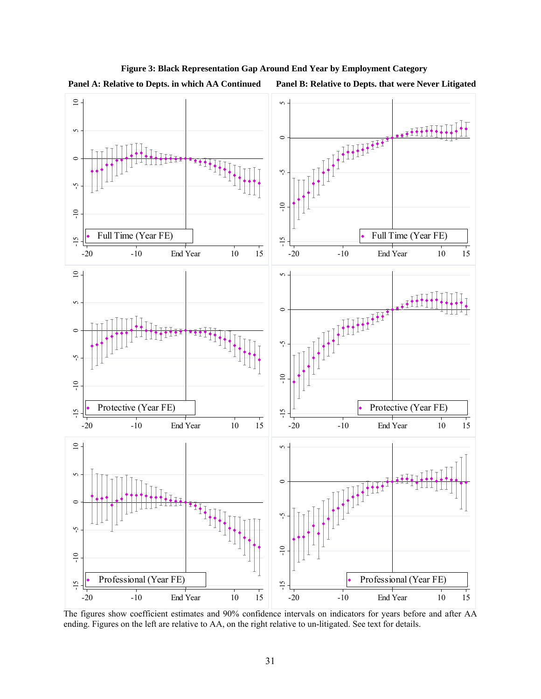

# **Figure 3: Black Representation Gap Around End Year by Employment Category**

**Panel A: Relative to Depts. in which AA Continued Panel B: Relative to Depts. that were Never Litigated**

The figures show coefficient estimates and 90% confidence intervals on indicators for years before and after AA ending. Figures on the left are relative to AA, on the right relative to un-litigated. See text for details.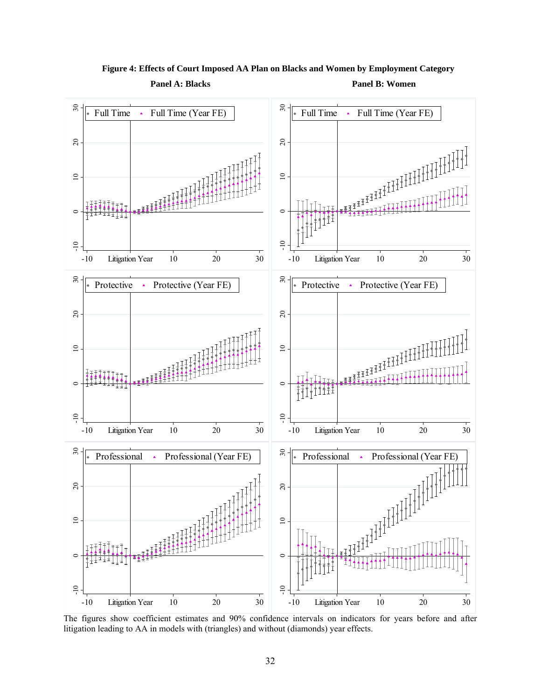

**Figure 4: Effects of Court Imposed AA Plan on Blacks and Women by Employment Category** 

**Panel A: Blacks Panel B: Women** 

The figures show coefficient estimates and 90% confidence intervals on indicators for years before and after litigation leading to AA in models with (triangles) and without (diamonds) year effects.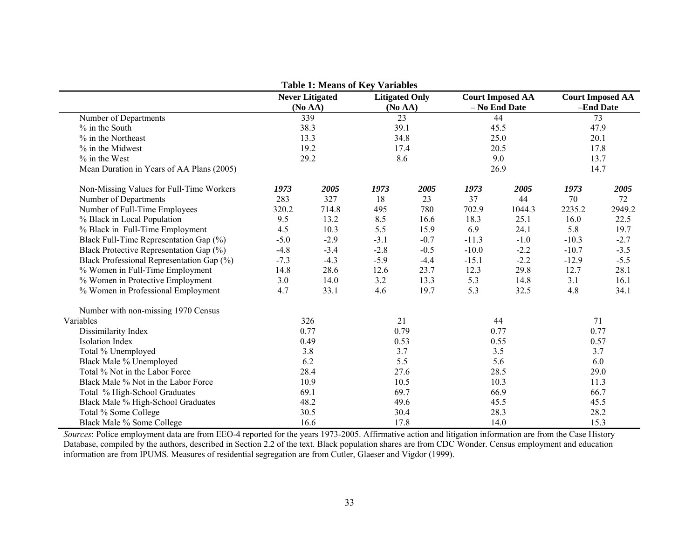|                                           |        | <b>Table 1: Means of Key Variables</b> |                                  |        |         |                                          |                                      |        |
|-------------------------------------------|--------|----------------------------------------|----------------------------------|--------|---------|------------------------------------------|--------------------------------------|--------|
|                                           |        | <b>Never Litigated</b><br>(No AA)      | <b>Litigated Only</b><br>(No AA) |        |         | <b>Court Imposed AA</b><br>- No End Date | <b>Court Imposed AA</b><br>-End Date |        |
| Number of Departments                     |        | 339                                    |                                  | 23     |         | 44                                       | 73                                   |        |
| % in the South                            |        | 38.3                                   | 39.1                             |        |         | 45.5                                     | 47.9                                 |        |
| % in the Northeast                        |        | 13.3                                   | 34.8                             |        |         | 25.0                                     | 20.1                                 |        |
| % in the Midwest                          |        | 19.2                                   | 17.4                             |        |         | 20.5                                     | 17.8                                 |        |
| $%$ in the West                           |        | 29.2                                   | 8.6                              |        |         | 9.0                                      | 13.7                                 |        |
| Mean Duration in Years of AA Plans (2005) |        |                                        |                                  |        |         | 26.9                                     |                                      | 14.7   |
| Non-Missing Values for Full-Time Workers  | 1973   | 2005                                   | 1973                             | 2005   | 1973    | 2005                                     | 1973                                 | 2005   |
| Number of Departments                     | 283    | 327                                    | 18                               | 23     | 37      | 44                                       | 70                                   | 72     |
| Number of Full-Time Employees             | 320.2  | 714.8                                  | 495                              | 780    | 702.9   | 1044.3                                   | 2235.2                               | 2949.2 |
| % Black in Local Population               | 9.5    | 13.2                                   | 8.5                              | 16.6   | 18.3    | 25.1                                     | 16.0                                 | 22.5   |
| % Black in Full-Time Employment           | 4.5    | 10.3                                   | 5.5                              | 15.9   | 6.9     | 24.1                                     | 5.8                                  | 19.7   |
| Black Full-Time Representation Gap (%)    | $-5.0$ | $-2.9$                                 | $-3.1$                           | $-0.7$ | $-11.3$ | $-1.0$                                   | $-10.3$                              | $-2.7$ |
| Black Protective Representation Gap (%)   | $-4.8$ | $-3.4$                                 | $-2.8$                           | $-0.5$ | $-10.0$ | $-2.2$                                   | $-10.7$                              | $-3.5$ |
| Black Professional Representation Gap (%) | $-7.3$ | $-4.3$                                 | $-5.9$                           | $-4.4$ | $-15.1$ | $-2.2$                                   | $-12.9$                              | $-5.5$ |
| % Women in Full-Time Employment           | 14.8   | 28.6                                   | 12.6                             | 23.7   | 12.3    | 29.8                                     | 12.7                                 | 28.1   |
| % Women in Protective Employment          | 3.0    | 14.0                                   | 3.2                              | 13.3   | 5.3     | 14.8                                     | 3.1                                  | 16.1   |
| % Women in Professional Employment        | 4.7    | 33.1                                   | 4.6                              | 19.7   | 5.3     | 32.5                                     | 4.8                                  | 34.1   |
| Number with non-missing 1970 Census       |        |                                        |                                  |        |         |                                          |                                      |        |
| Variables                                 |        | 326                                    | 21                               |        |         | 44                                       |                                      | 71     |
| Dissimilarity Index                       |        | 0.77                                   | 0.79                             |        |         | 0.77                                     |                                      | 0.77   |
| <b>Isolation Index</b>                    |        | 0.49                                   | 0.53                             |        |         | 0.55                                     |                                      | 0.57   |
| Total % Unemployed                        |        | 3.8                                    | 3.7                              |        |         | 3.5                                      |                                      | 3.7    |
| Black Male % Unemployed                   |        | 6.2                                    | 5.5                              |        |         | 5.6                                      |                                      | 6.0    |
| Total % Not in the Labor Force            |        | 28.4                                   | 27.6                             |        |         | 28.5                                     |                                      | 29.0   |
| Black Male % Not in the Labor Force       |        | 10.9                                   | 10.5                             |        |         | 10.3                                     |                                      | 11.3   |
| Total % High-School Graduates             |        | 69.1                                   | 69.7                             |        |         | 66.9                                     |                                      | 66.7   |
| Black Male % High-School Graduates        |        | 48.2                                   | 49.6                             |        |         | 45.5                                     |                                      | 45.5   |
| Total % Some College                      |        | 30.5                                   | 30.4                             |        |         | 28.3                                     |                                      | 28.2   |
| Black Male % Some College                 |        | 16.6                                   | 17.8                             |        | 14.0    |                                          | 15.3                                 |        |

*Sources*: Police employment data are from EEO-4 reported for the years 1973-2005. Affirmative action and litigation information are from the Case History Database, compiled by the authors, described in Section 2.2 of the text. Black population shares are from CDC Wonder. Census employment and education information are from IPUMS. Measures of residential segregation are from Cutler, Glaeser and Vigdor (1999).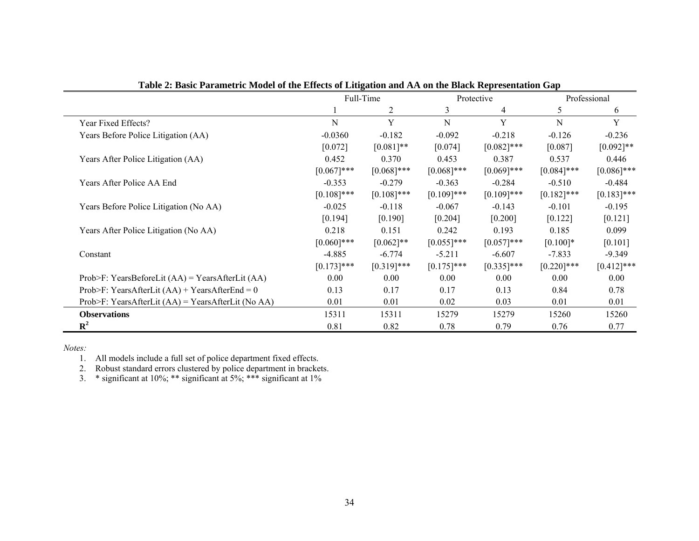|                                                      |               | Full-Time     |               | Protective    |               | Professional  |
|------------------------------------------------------|---------------|---------------|---------------|---------------|---------------|---------------|
|                                                      |               | 2             | 3             | 4             | 5             | 6             |
| Year Fixed Effects?                                  | ${\bf N}$     | Y             | N             | Y             | $\mathbf N$   | Y             |
| Years Before Police Litigation (AA)                  | $-0.0360$     | $-0.182$      | $-0.092$      | $-0.218$      | $-0.126$      | $-0.236$      |
|                                                      | [0.072]       | $[0.081]$ **  | [0.074]       | $[0.082]$ *** | [0.087]       | $[0.092]$ **  |
| Years After Police Litigation (AA)                   | 0.452         | 0.370         | 0.453         | 0.387         | 0.537         | 0.446         |
|                                                      | $[0.067]***$  | $[0.068]$ *** | $[0.068]$ *** | $[0.069]$ *** | $[0.084]$ *** | $[0.086]$ *** |
| Years After Police AA End                            | $-0.353$      | $-0.279$      | $-0.363$      | $-0.284$      | $-0.510$      | $-0.484$      |
|                                                      | $[0.108]$ *** | $[0.108]$ *** | $[0.109]$ *** | $[0.109]$ *** | $[0.182]$ *** | $[0.183]$ *** |
| Years Before Police Litigation (No AA)               | $-0.025$      | $-0.118$      | $-0.067$      | $-0.143$      | $-0.101$      | $-0.195$      |
|                                                      | [0.194]       | [0.190]       | [0.204]       | [0.200]       | [0.122]       | [0.121]       |
| Years After Police Litigation (No AA)                | 0.218         | 0.151         | 0.242         | 0.193         | 0.185         | 0.099         |
|                                                      | $[0.060]$ *** | $[0.062]$ **  | $[0.055]$ *** | $[0.057]$ *** | $[0.100]*$    | [0.101]       |
| Constant                                             | $-4.885$      | $-6.774$      | $-5.211$      | $-6.607$      | $-7.833$      | $-9.349$      |
|                                                      | $[0.173]$ *** | $[0.319]$ *** | $[0.175]$ *** | $[0.335]$ *** | $[0.220]$ *** | $[0.412]$ *** |
| Prob>F: YearsBeforeLit $(AA)$ = YearsAfterLit $(AA)$ | 0.00          | 0.00          | 0.00          | 0.00          | 0.00          | 0.00          |
| Prob>F: YearsAfterLit $(AA)$ + YearsAfterEnd = 0     | 0.13          | 0.17          | 0.17          | 0.13          | 0.84          | 0.78          |
| Prob>F: YearsAfterLit $(AA)$ = YearsAfterLit (No AA) | 0.01          | 0.01          | 0.02          | 0.03          | 0.01          | 0.01          |
| <b>Observations</b>                                  | 15311         | 15311         | 15279         | 15279         | 15260         | 15260         |
| ${\bf R}^2$                                          | 0.81          | 0.82          | 0.78          | 0.79          | 0.76          | 0.77          |

**Table 2: Basic Parametric Model of the Effects of Litigation and AA on the Black Representation Gap** 

*Notes:*

1. All models include a full set of police department fixed effects.

2. Robust standard errors clustered by police department in brackets.

3. \* significant at  $10\%$ ; \*\* significant at  $5\%$ ; \*\*\* significant at  $1\%$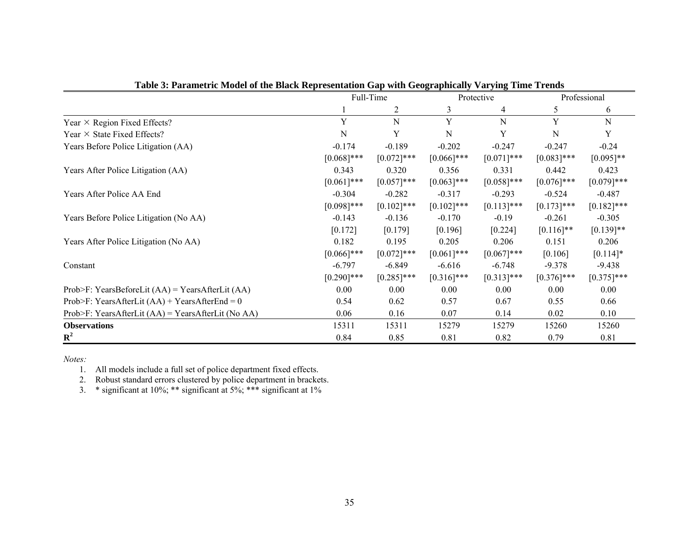|                                                      |               | Full-Time     |               | Protective    |               | Professional  |
|------------------------------------------------------|---------------|---------------|---------------|---------------|---------------|---------------|
|                                                      |               |               | 3             | 4             | 5             | 6             |
| Year $\times$ Region Fixed Effects?                  | Y             | N             | Y             | N             | Y             | N             |
| Year $\times$ State Fixed Effects?                   | N             | Y             | N             | Y             | N             | Y             |
| Years Before Police Litigation (AA)                  | $-0.174$      | $-0.189$      | $-0.202$      | $-0.247$      | $-0.247$      | $-0.24$       |
|                                                      | $[0.068]$ *** | $[0.072]$ *** | $[0.066]$ *** | $[0.071]$ *** | $[0.083]$ *** | $[0.095]**$   |
| Years After Police Litigation (AA)                   | 0.343         | 0.320         | 0.356         | 0.331         | 0.442         | 0.423         |
|                                                      | $[0.061]$ *** | $[0.057]$ *** | $[0.063]$ *** | $[0.058]$ *** | $[0.076]$ *** | $[0.079]$ *** |
| Years After Police AA End                            | $-0.304$      | $-0.282$      | $-0.317$      | $-0.293$      | $-0.524$      | $-0.487$      |
|                                                      | $[0.098]$ *** | $[0.102]$ *** | $[0.102]$ *** | $[0.113]$ *** | $[0.173]$ *** | $[0.182]$ *** |
| Years Before Police Litigation (No AA)               | $-0.143$      | $-0.136$      | $-0.170$      | $-0.19$       | $-0.261$      | $-0.305$      |
|                                                      | [0.172]       | [0.179]       | [0.196]       | [0.224]       | $[0.116]$ **  | $[0.139]$ **  |
| Years After Police Litigation (No AA)                | 0.182         | 0.195         | 0.205         | 0.206         | 0.151         | 0.206         |
|                                                      | $[0.066]$ *** | $[0.072]$ *** | $[0.061]$ *** | $[0.067]$ *** | [0.106]       | $[0.114]$ *   |
| Constant                                             | $-6.797$      | $-6.849$      | $-6.616$      | $-6.748$      | $-9.378$      | $-9.438$      |
|                                                      | $[0.290]$ *** | $[0.285]$ *** | $[0.316]$ *** | $[0.313]$ *** | $[0.376]$ *** | $[0.375]$ *** |
| Prob>F: YearsBeforeLit $(AA)$ = YearsAfterLit $(AA)$ | 0.00          | 0.00          | 0.00          | 0.00          | 0.00          | 0.00          |
| Prob>F: YearsAfterLit $(AA)$ + YearsAfterEnd = 0     | 0.54          | 0.62          | 0.57          | 0.67          | 0.55          | 0.66          |
| Prob>F: YearsAfterLit $(AA)$ = YearsAfterLit (No AA) | 0.06          | 0.16          | 0.07          | 0.14          | 0.02          | 0.10          |
| <b>Observations</b>                                  | 15311         | 15311         | 15279         | 15279         | 15260         | 15260         |
| ${\bf R}^2$                                          | 0.84          | 0.85          | 0.81          | 0.82          | 0.79          | 0.81          |

| Table 3: Parametric Model of the Black Representation Gap with Geographically Varying Time Trends |  |
|---------------------------------------------------------------------------------------------------|--|
|---------------------------------------------------------------------------------------------------|--|

1. All models include a full set of police department fixed effects.

2. Robust standard errors clustered by police department in brackets.

3. \* significant at 10%; \*\* significant at 5%; \*\*\* significant at 1%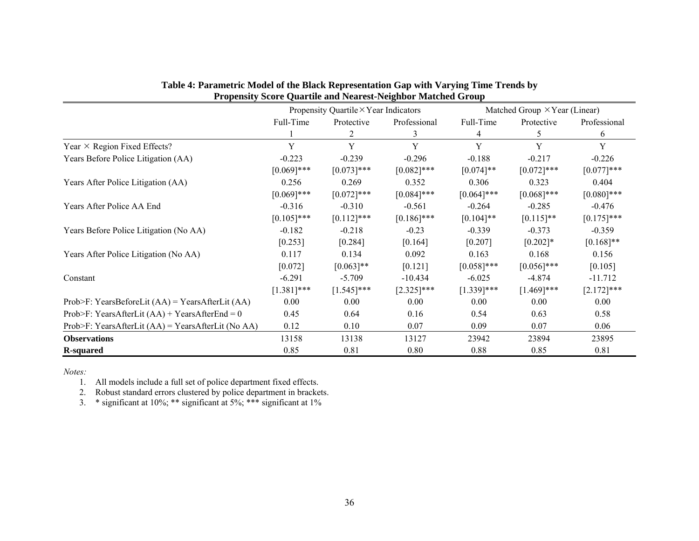|                                                      |               | Propensity Quartile $\times$ Year Indicators |               |               | Matched Group $\times$ Year (Linear) |               |  |  |
|------------------------------------------------------|---------------|----------------------------------------------|---------------|---------------|--------------------------------------|---------------|--|--|
|                                                      | Full-Time     | Protective                                   | Professional  | Full-Time     | Protective                           | Professional  |  |  |
|                                                      |               | 2                                            | 3             | 4             | 5.                                   | 6             |  |  |
| Year $\times$ Region Fixed Effects?                  | Y             | Y                                            | Y             | Y             | Y                                    | Y             |  |  |
| Years Before Police Litigation (AA)                  | $-0.223$      | $-0.239$                                     | $-0.296$      | $-0.188$      | $-0.217$                             | $-0.226$      |  |  |
|                                                      | $[0.069]$ *** | $[0.073]$ ***                                | $[0.082]$ *** | $[0.074]$ **  | $[0.072]$ ***                        | $[0.077]***$  |  |  |
| Years After Police Litigation (AA)                   | 0.256         | 0.269                                        | 0.352         | 0.306         | 0.323                                | 0.404         |  |  |
|                                                      | $[0.069]$ *** | $[0.072]$ ***                                | $[0.084]$ *** | $[0.064]$ *** | $[0.068]$ ***                        | $[0.080]$ *** |  |  |
| Years After Police AA End                            | $-0.316$      | $-0.310$                                     | $-0.561$      | $-0.264$      | $-0.285$                             | $-0.476$      |  |  |
|                                                      | $[0.105]$ *** | $[0.112]$ ***                                | $[0.186]$ *** | $[0.104]$ **  | $[0.115]$ **                         | $[0.175]$ *** |  |  |
| Years Before Police Litigation (No AA)               | $-0.182$      | $-0.218$                                     | $-0.23$       | $-0.339$      | $-0.373$                             | $-0.359$      |  |  |
|                                                      | [0.253]       | [0.284]                                      | [0.164]       | [0.207]       | $[0.202]*$                           | $[0.168]$ **  |  |  |
| Years After Police Litigation (No AA)                | 0.117         | 0.134                                        | 0.092         | 0.163         | 0.168                                | 0.156         |  |  |
|                                                      | [0.072]       | $[0.063]$ **                                 | [0.121]       | $[0.058]$ *** | $[0.056]$ ***                        | [0.105]       |  |  |
| Constant                                             | $-6.291$      | $-5.709$                                     | $-10.434$     | $-6.025$      | $-4.874$                             | $-11.712$     |  |  |
|                                                      | $[1.381]$ *** | $[1.545]$ ***                                | $[2.325]$ *** | $[1.339]$ *** | $[1.469]$ ***                        | $[2.172]$ *** |  |  |
| Prob>F: YearsBeforeLit $(AA)$ = YearsAfterLit $(AA)$ | 0.00          | 0.00                                         | 0.00          | 0.00          | 0.00                                 | 0.00          |  |  |
| Prob>F: YearsAfterLit $(AA)$ + YearsAfterEnd = 0     | 0.45          | 0.64                                         | 0.16          | 0.54          | 0.63                                 | 0.58          |  |  |
| Prob>F: YearsAfterLit $(AA)$ = YearsAfterLit (No AA) | 0.12          | 0.10                                         | 0.07          | 0.09          | 0.07                                 | 0.06          |  |  |
| <b>Observations</b>                                  | 13158         | 13138                                        | 13127         | 23942         | 23894                                | 23895         |  |  |
| <b>R-squared</b>                                     | 0.85          | 0.81                                         | 0.80          | 0.88          | 0.85                                 | 0.81          |  |  |

| Table 4: Parametric Model of the Black Representation Gap with Varying Time Trends by |
|---------------------------------------------------------------------------------------|
| <b>Propensity Score Quartile and Nearest-Neighbor Matched Group</b>                   |

1. All models include a full set of police department fixed effects.

2. Robust standard errors clustered by police department in brackets.

3. \* significant at 10%; \*\* significant at 5%; \*\*\* significant at 1%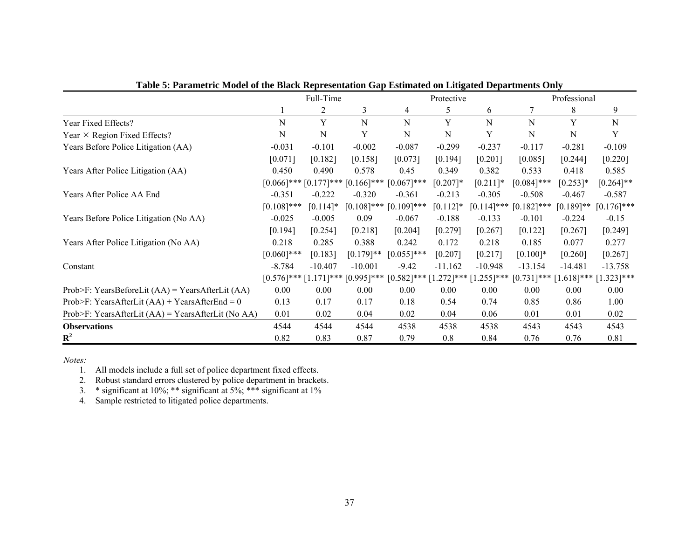|                                                      |               | Full-Time   |                                           | Protective                  |             |               | Professional  |              |                             |
|------------------------------------------------------|---------------|-------------|-------------------------------------------|-----------------------------|-------------|---------------|---------------|--------------|-----------------------------|
|                                                      |               |             | 3                                         | 4                           | 5           | 6             |               | 8            | 9                           |
| Year Fixed Effects?                                  | N             | Y           | N                                         | N                           | Y           | N             | N             | Y            | N                           |
| Year $\times$ Region Fixed Effects?                  | N             | N           | Y                                         | N                           | N           | Y             | N             | N            | Y                           |
| Years Before Police Litigation (AA)                  | $-0.031$      | $-0.101$    | $-0.002$                                  | $-0.087$                    | $-0.299$    | $-0.237$      | $-0.117$      | $-0.281$     | $-0.109$                    |
|                                                      | [0.071]       | [0.182]     | [0.158]                                   | [0.073]                     | [0.194]     | [0.201]       | [0.085]       | [0.244]      | [0.220]                     |
| Years After Police Litigation (AA)                   | 0.450         | 0.490       | 0.578                                     | 0.45                        | 0.349       | 0.382         | 0.533         | 0.418        | 0.585                       |
|                                                      |               |             | $[0.066]$ *** $[0.177]$ *** $[0.166]$ *** | $[0.067]$ ***               | $[0.207]*$  | $[0.211]*$    | $[0.084]$ *** | $[0.253]*$   | $[0.264]$ **                |
| Years After Police AA End                            | $-0.351$      | $-0.222$    | $-0.320$                                  | $-0.361$                    | $-0.213$    | $-0.305$      | $-0.508$      | $-0.467$     | $-0.587$                    |
|                                                      | $[0.108]$ *** | $[0.114]$ * | $[0.108]$ ***                             | $[0.109]$ ***               | $[0.112]$ * | $[0.114]$ *** | $[0.182]$ *** | $[0.189]$ ** | $[0.176]$ ***               |
| Years Before Police Litigation (No AA)               | $-0.025$      | $-0.005$    | 0.09                                      | $-0.067$                    | $-0.188$    | $-0.133$      | $-0.101$      | $-0.224$     | $-0.15$                     |
|                                                      | [0.194]       | [0.254]     | [0.218]                                   | [0.204]                     | [0.279]     | [0.267]       | [0.122]       | [0.267]      | [0.249]                     |
| Years After Police Litigation (No AA)                | 0.218         | 0.285       | 0.388                                     | 0.242                       | 0.172       | 0.218         | 0.185         | 0.077        | 0.277                       |
|                                                      | $[0.060]$ *** | [0.183]     | $[0.179]$ **                              | $[0.055]$ ***               | [0.207]     | [0.217]       | $[0.100]*$    | [0.260]      | [0.267]                     |
| Constant                                             | $-8.784$      | $-10.407$   | $-10.001$                                 | $-9.42$                     | $-11.162$   | $-10.948$     | $-13.154$     | $-14.481$    | $-13.758$                   |
|                                                      | $[0.576]$ *** |             | $[1.171]$ *** $[0.995]$ ***               | $[0.582]$ *** $[1.272]$ *** |             | $[1.255]$ *** | $[0.731]$ *** |              | $[1.618]$ *** $[1.323]$ *** |
| Prob>F: YearsBeforeLit $(AA)$ = YearsAfterLit $(AA)$ | 0.00          | 0.00        | 0.00                                      | 0.00                        | 0.00        | 0.00          | 0.00          | 0.00         | 0.00                        |
| Prob>F: YearsAfterLit $(AA)$ + YearsAfterEnd = 0     | 0.13          | 0.17        | 0.17                                      | 0.18                        | 0.54        | 0.74          | 0.85          | 0.86         | 1.00                        |
| Prob>F: YearsAfterLit $(AA)$ = YearsAfterLit (No AA) | 0.01          | 0.02        | 0.04                                      | 0.02                        | 0.04        | 0.06          | 0.01          | 0.01         | 0.02                        |
| <b>Observations</b>                                  | 4544          | 4544        | 4544                                      | 4538                        | 4538        | 4538          | 4543          | 4543         | 4543                        |
| ${\bf R}^2$                                          | 0.82          | 0.83        | 0.87                                      | 0.79                        | 0.8         | 0.84          | 0.76          | 0.76         | 0.81                        |

**Table 5: Parametric Model of the Black Representation Gap Estimated on Litigated Departments Only** 

1. All models include a full set of police department fixed effects.

2. Robust standard errors clustered by police department in brackets.

3. \* significant at  $10\%$ ; \*\* significant at  $5\%$ ; \*\*\* significant at  $1\%$ 

4. Sample restricted to litigated police departments.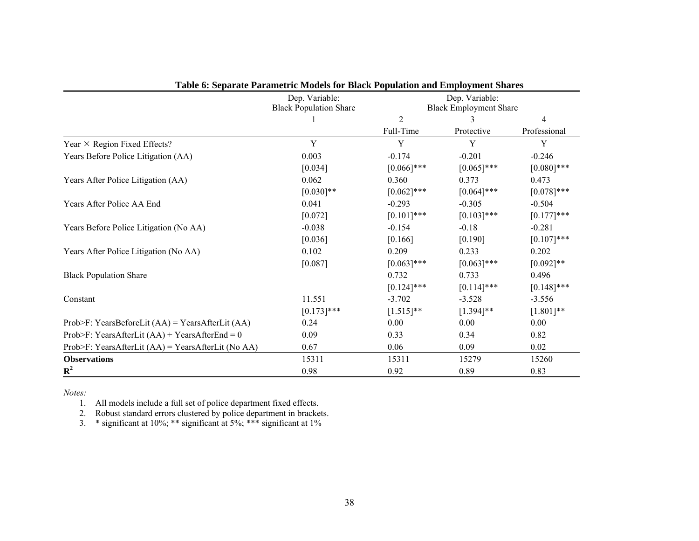|                                                      | Dep. Variable:                |                | Dep. Variable:                |               |
|------------------------------------------------------|-------------------------------|----------------|-------------------------------|---------------|
|                                                      | <b>Black Population Share</b> |                | <b>Black Employment Share</b> |               |
|                                                      |                               | $\overline{2}$ | 3                             | 4             |
|                                                      |                               | Full-Time      | Protective                    | Professional  |
| Year $\times$ Region Fixed Effects?                  | Y                             | Y              | Y                             | Y             |
| Years Before Police Litigation (AA)                  | 0.003                         | $-0.174$       | $-0.201$                      | $-0.246$      |
|                                                      | [0.034]                       | $[0.066]$ ***  | $[0.065]$ ***                 | $[0.080]$ *** |
| Years After Police Litigation (AA)                   | 0.062                         | 0.360          | 0.373                         | 0.473         |
|                                                      | $[0.030]$ **                  | $[0.062]$ ***  | $[0.064]$ ***                 | $[0.078]***$  |
| Years After Police AA End                            | 0.041                         | $-0.293$       | $-0.305$                      | $-0.504$      |
|                                                      | [0.072]                       | $[0.101]$ ***  | $[0.103]$ ***                 | $[0.177]$ *** |
| Years Before Police Litigation (No AA)               | $-0.038$                      | $-0.154$       | $-0.18$                       | $-0.281$      |
|                                                      | [0.036]                       | [0.166]        | [0.190]                       | $[0.107]***$  |
| Years After Police Litigation (No AA)                | 0.102                         | 0.209          | 0.233                         | 0.202         |
|                                                      | [0.087]                       | $[0.063]$ ***  | $[0.063]$ ***                 | $[0.092]$ **  |
| <b>Black Population Share</b>                        |                               | 0.732          | 0.733                         | 0.496         |
|                                                      |                               | $[0.124]$ ***  | $[0.114]$ ***                 | $[0.148]$ *** |
| Constant                                             | 11.551                        | $-3.702$       | $-3.528$                      | $-3.556$      |
|                                                      | $[0.173]$ ***                 | $[1.515]$ **   | $[1.394]$ **                  | $[1.801]**$   |
| Prob>F: YearsBeforeLit $(AA)$ = YearsAfterLit $(AA)$ | 0.24                          | 0.00           | 0.00                          | 0.00          |
| Prob>F: YearsAfterLit $(AA)$ + YearsAfterEnd = 0     | 0.09                          | 0.33           | 0.34                          | 0.82          |
| Prob>F: YearsAfterLit (AA) = YearsAfterLit (No AA)   | 0.67                          | 0.06           | 0.09                          | 0.02          |
| <b>Observations</b>                                  | 15311                         | 15311          | 15279                         | 15260         |
| ${\bf R}^2$                                          | 0.98                          | 0.92           | 0.89                          | 0.83          |

|  |  |  | Table 6: Separate Parametric Models for Black Population and Employment Shares |  |
|--|--|--|--------------------------------------------------------------------------------|--|
|  |  |  |                                                                                |  |

1. All models include a full set of police department fixed effects.

2. Robust standard errors clustered by police department in brackets.

3. \* significant at 10%; \*\* significant at 5%; \*\*\* significant at 1%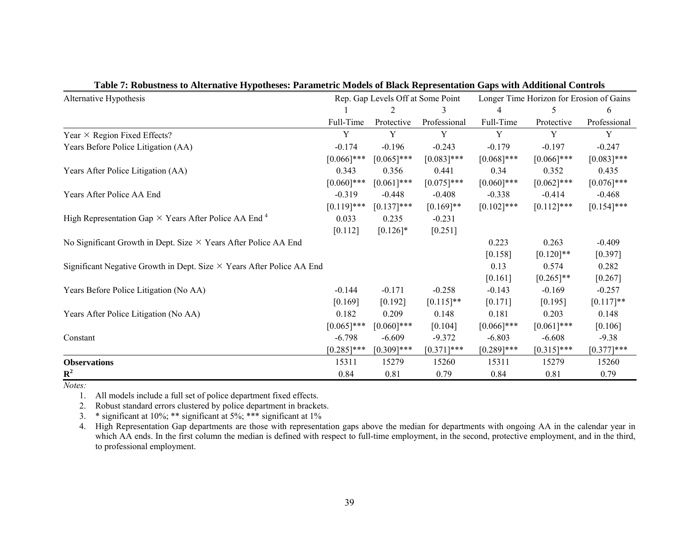| Alternative Hypothesis                                                       |               | Rep. Gap Levels Off at Some Point |               |               | Longer Time Horizon for Erosion of Gains |               |  |  |
|------------------------------------------------------------------------------|---------------|-----------------------------------|---------------|---------------|------------------------------------------|---------------|--|--|
|                                                                              |               |                                   |               |               |                                          | 6             |  |  |
|                                                                              | Full-Time     | Protective                        | Professional  | Full-Time     | Protective                               | Professional  |  |  |
| Year $\times$ Region Fixed Effects?                                          | Y             | Y                                 | Y             | Y             | Y                                        | Y             |  |  |
| Years Before Police Litigation (AA)                                          | $-0.174$      | $-0.196$                          | $-0.243$      | $-0.179$      | $-0.197$                                 | $-0.247$      |  |  |
|                                                                              | $[0.066]$ *** | $[0.065]$ ***                     | $[0.083]$ *** | $[0.068]$ *** | $[0.066]$ ***                            | $[0.083]$ *** |  |  |
| Years After Police Litigation (AA)                                           | 0.343         | 0.356                             | 0.441         | 0.34          | 0.352                                    | 0.435         |  |  |
|                                                                              | $[0.060]$ *** | $[0.061]$ ***                     | $[0.075]$ *** | $[0.060]$ *** | $[0.062]$ ***                            | $[0.076]$ *** |  |  |
| Years After Police AA End                                                    | $-0.319$      | $-0.448$                          | $-0.408$      | $-0.338$      | $-0.414$                                 | $-0.468$      |  |  |
|                                                                              | $[0.119]$ *** | $[0.137]$ ***                     | $[0.169]$ **  | $[0.102]$ *** | $[0.112]$ ***                            | $[0.154]$ *** |  |  |
| High Representation Gap $\times$ Years After Police AA End <sup>4</sup>      | 0.033         | 0.235                             | $-0.231$      |               |                                          |               |  |  |
|                                                                              | [0.112]       | $[0.126]$ *                       | [0.251]       |               |                                          |               |  |  |
| No Significant Growth in Dept. Size $\times$ Years After Police AA End       |               |                                   |               | 0.223         | 0.263                                    | $-0.409$      |  |  |
|                                                                              |               |                                   |               | [0.158]       | $[0.120]$ **                             | $[0.397]$     |  |  |
| Significant Negative Growth in Dept. Size $\times$ Years After Police AA End |               |                                   |               | 0.13          | 0.574                                    | 0.282         |  |  |
|                                                                              |               |                                   |               | [0.161]       | $[0.265]$ **                             | $[0.267]$     |  |  |
| Years Before Police Litigation (No AA)                                       | $-0.144$      | $-0.171$                          | $-0.258$      | $-0.143$      | $-0.169$                                 | $-0.257$      |  |  |
|                                                                              | [0.169]       | [0.192]                           | $[0.115]$ **  | [0.171]       | [0.195]                                  | $[0.117]$ **  |  |  |
| Years After Police Litigation (No AA)                                        | 0.182         | 0.209                             | 0.148         | 0.181         | 0.203                                    | 0.148         |  |  |
|                                                                              | $[0.065]$ *** | $[0.060]$ ***                     | [0.104]       | $[0.066]$ *** | $[0.061]$ ***                            | $[0.106]$     |  |  |
| Constant                                                                     | $-6.798$      | $-6.609$                          | $-9.372$      | $-6.803$      | $-6.608$                                 | $-9.38$       |  |  |
|                                                                              | $[0.285]$ *** | $[0.309]$ ***                     | $[0.371]$ *** | $[0.289]$ *** | $[0.315]$ ***                            | $[0.377]$ *** |  |  |
| <b>Observations</b>                                                          | 15311         | 15279                             | 15260         | 15311         | 15279                                    | 15260         |  |  |
| $\mathbb{R}^2$                                                               | 0.84          | 0.81                              | 0.79          | 0.84          | 0.81                                     | 0.79          |  |  |

|  | Table 7: Robustness to Alternative Hypotheses: Parametric Models of Black Representation Gaps with Additional Controls |  |
|--|------------------------------------------------------------------------------------------------------------------------|--|
|  |                                                                                                                        |  |

1. All models include a full set of police department fixed effects.

2.Robust standard errors clustered by police department in brackets.

3. $\therefore$  \* significant at 10%; \*\* significant at 5%; \*\*\* significant at 1%

4. High Representation Gap departments are those with representation gaps above the median for departments with ongoing AA in the calendar year in which AA ends. In the first column the median is defined with respect to full-time employment, in the second, protective employment, and in the third, to professional employment.